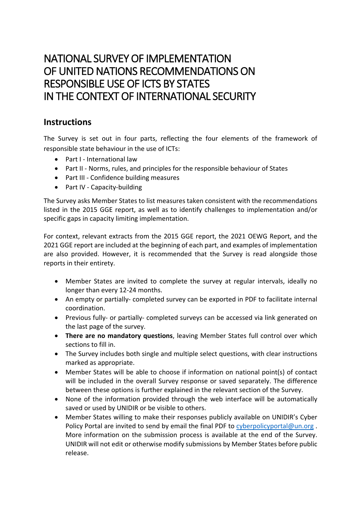# NATIONAL SURVEY OF IMPLEMENTATION OF UNITED NATIONS RECOMMENDATIONS ON RESPONSIBLE USE OF ICTS BY STATES IN THE CONTEXT OF INTERNATIONAL SECURITY

# **Instructions**

The Survey is set out in four parts, reflecting the four elements of the framework of responsible state behaviour in the use of ICTs:

- Part I International law
- Part II Norms, rules, and principles for the responsible behaviour of States
- Part III Confidence building measures
- Part IV Capacity-building

The Survey asks Member States to list measures taken consistent with the recommendations listed in the 2015 GGE report, as well as to identify challenges to implementation and/or specific gaps in capacity limiting implementation.

For context, relevant extracts from the 2015 GGE report, the 2021 OEWG Report, and the 2021 GGE report are included at the beginning of each part, and examples of implementation are also provided. However, it is recommended that the Survey is read alongside those reports in their entirety.

- Member States are invited to complete the survey at regular intervals, ideally no longer than every 12-24 months.
- An empty or partially- completed survey can be exported in PDF to facilitate internal coordination.
- Previous fully- or partially- completed surveys can be accessed via link generated on the last page of the survey.
- **There are no mandatory questions**, leaving Member States full control over which sections to fill in.
- The Survey includes both single and multiple select questions, with clear instructions marked as appropriate.
- Member States will be able to choose if information on national point(s) of contact will be included in the overall Survey response or saved separately. The difference between these options is further explained in the relevant section of the Survey.
- None of the information provided through the web interface will be automatically saved or used by UNIDIR or be visible to others.
- Member States willing to make their responses publicly available on UNIDIR's Cyber Policy Portal are invited to send by email the final PDF to cyberpolicyportal@un.org. More information on the submission process is available at the end of the Survey. UNIDIR will not edit or otherwise modify submissions by Member States before public release.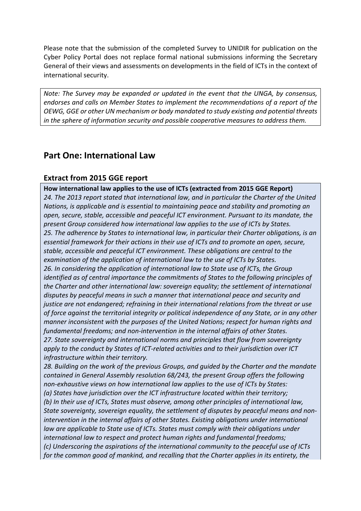Please note that the submission of the completed Survey to UNIDIR for publication on the Cyber Policy Portal does not replace formal national submissions informing the Secretary General of their views and assessments on developments in the field of ICTs in the context of international security.

*Note: The Survey may be expanded or updated in the event that the UNGA, by consensus, endorses and calls on Member States to implement the recommendations of a report of the OEWG, GGE or other UN mechanism or body mandated to study existing and potential threats in the sphere of information security and possible cooperative measures to address them.*

# **Part One: International Law**

# **Extract from 2015 GGE report**

**How international law applies to the use of ICTs (extracted from 2015 GGE Report)** *24. The 2013 report stated that international law, and in particular the Charter of the United Nations, is applicable and is essential to maintaining peace and stability and promoting an open, secure, stable, accessible and peaceful ICT environment. Pursuant to its mandate, the present Group considered how international law applies to the use of ICTs by States. 25. The adherence by States to international law, in particular their Charter obligations, is an essential framework for their actions in their use of ICTs and to promote an open, secure, stable, accessible and peaceful ICT environment. These obligations are central to the examination of the application of international law to the use of ICTs by States. 26. In considering the application of international law to State use of ICTs, the Group identified as of central importance the commitments of States to the following principles of the Charter and other international law: sovereign equality; the settlement of international disputes by peaceful means in such a manner that international peace and security and justice are not endangered; refraining in their international relations from the threat or use of force against the territorial integrity or political independence of any State, or in any other manner inconsistent with the purposes of the United Nations; respect for human rights and fundamental freedoms; and non-intervention in the internal affairs of other States. 27. State sovereignty and international norms and principles that flow from sovereignty apply to the conduct by States of ICT-related activities and to their jurisdiction over ICT infrastructure within their territory.*

*28. Building on the work of the previous Groups, and guided by the Charter and the mandate contained in General Assembly resolution 68/243, the present Group offers the following non-exhaustive views on how international law applies to the use of ICTs by States: (a) States have jurisdiction over the ICT infrastructure located within their territory; (b) In their use of ICTs, States must observe, among other principles of international law, State sovereignty, sovereign equality, the settlement of disputes by peaceful means and nonintervention in the internal affairs of other States. Existing obligations under international law are applicable to State use of ICTs. States must comply with their obligations under international law to respect and protect human rights and fundamental freedoms; (c) Underscoring the aspirations of the international community to the peaceful use of ICTs for the common good of mankind, and recalling that the Charter applies in its entirety, the*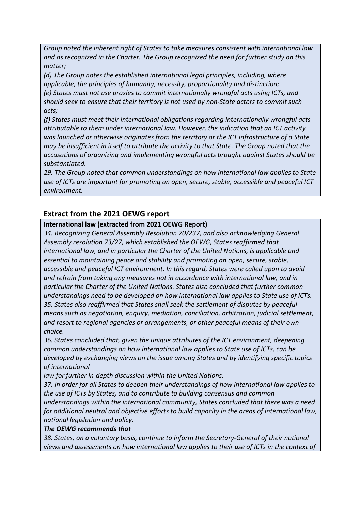*Group noted the inherent right of States to take measures consistent with international law and as recognized in the Charter. The Group recognized the need for further study on this matter;*

*(d) The Group notes the established international legal principles, including, where applicable, the principles of humanity, necessity, proportionality and distinction; (e) States must not use proxies to commit internationally wrongful acts using ICTs, and should seek to ensure that their territory is not used by non-State actors to commit such acts;*

*(f) States must meet their international obligations regarding internationally wrongful acts attributable to them under international law. However, the indication that an ICT activity was launched or otherwise originates from the territory or the ICT infrastructure of a State may be insufficient in itself to attribute the activity to that State. The Group noted that the accusations of organizing and implementing wrongful acts brought against States should be substantiated.*

*29. The Group noted that common understandings on how international law applies to State use of ICTs are important for promoting an open, secure, stable, accessible and peaceful ICT environment.*

# **Extract from the 2021 OEWG report**

### **International law (extracted from 2021 OEWG Report)**

*34. Recognizing General Assembly Resolution 70/237, and also acknowledging General Assembly resolution 73/27, which established the OEWG, States reaffirmed that international law, and in particular the Charter of the United Nations, is applicable and essential to maintaining peace and stability and promoting an open, secure, stable, accessible and peaceful ICT environment. In this regard, States were called upon to avoid and refrain from taking any measures not in accordance with international law, and in particular the Charter of the United Nations. States also concluded that further common understandings need to be developed on how international law applies to State use of ICTs. 35. States also reaffirmed that States shall seek the settlement of disputes by peaceful means such as negotiation, enquiry, mediation, conciliation, arbitration, judicial settlement, and resort to regional agencies or arrangements, or other peaceful means of their own choice.*

*36. States concluded that, given the unique attributes of the ICT environment, deepening common understandings on how international law applies to State use of ICTs, can be developed by exchanging views on the issue among States and by identifying specific topics of international*

*law for further in-depth discussion within the United Nations.*

*37. In order for all States to deepen their understandings of how international law applies to the use of ICTs by States, and to contribute to building consensus and common understandings within the international community, States concluded that there was a need for additional neutral and objective efforts to build capacity in the areas of international law, national legislation and policy.*

### *The OEWG recommends that*

*38. States, on a voluntary basis, continue to inform the Secretary-General of their national views and assessments on how international law applies to their use of ICTs in the context of*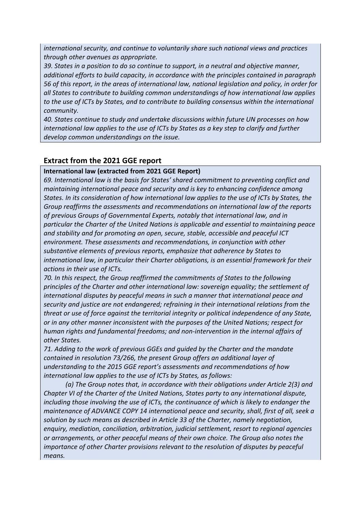*international security, and continue to voluntarily share such national views and practices through other avenues as appropriate.*

*39. States in a position to do so continue to support, in a neutral and objective manner, additional efforts to build capacity, in accordance with the principles contained in paragraph 56 of this report, in the areas of international law, national legislation and policy, in order for all States to contribute to building common understandings of how international law applies to the use of ICTs by States, and to contribute to building consensus within the international community.*

*40. States continue to study and undertake discussions within future UN processes on how international law applies to the use of ICTs by States as a key step to clarify and further develop common understandings on the issue.*

# **Extract from the 2021 GGE report**

## **International law (extracted from 2021 GGE Report)**

*69. International law is the basis for States' shared commitment to preventing conflict and maintaining international peace and security and is key to enhancing confidence among States. In its consideration of how international law applies to the use of ICTs by States, the Group reaffirms the assessments and recommendations on international law of the reports of previous Groups of Governmental Experts, notably that international law, and in particular the Charter of the United Nations is applicable and essential to maintaining peace and stability and for promoting an open, secure, stable, accessible and peaceful ICT environment. These assessments and recommendations, in conjunction with other substantive elements of previous reports, emphasize that adherence by States to international law, in particular their Charter obligations, is an essential framework for their actions in their use of ICTs.* 

*70. In this respect, the Group reaffirmed the commitments of States to the following principles of the Charter and other international law: sovereign equality; the settlement of international disputes by peaceful means in such a manner that international peace and security and justice are not endangered; refraining in their international relations from the threat or use of force against the territorial integrity or political independence of any State, or in any other manner inconsistent with the purposes of the United Nations; respect for human rights and fundamental freedoms; and non-intervention in the internal affairs of other States.* 

*71. Adding to the work of previous GGEs and guided by the Charter and the mandate contained in resolution 73/266, the present Group offers an additional layer of understanding to the 2015 GGE report's assessments and recommendations of how international law applies to the use of ICTs by States, as follows:* 

*(a) The Group notes that, in accordance with their obligations under Article 2(3) and Chapter VI of the Charter of the United Nations, States party to any international dispute, including those involving the use of ICTs, the continuance of which is likely to endanger the maintenance of ADVANCE COPY 14 international peace and security, shall, first of all, seek a solution by such means as described in Article 33 of the Charter, namely negotiation, enquiry, mediation, conciliation, arbitration, judicial settlement, resort to regional agencies or arrangements, or other peaceful means of their own choice. The Group also notes the importance of other Charter provisions relevant to the resolution of disputes by peaceful means.*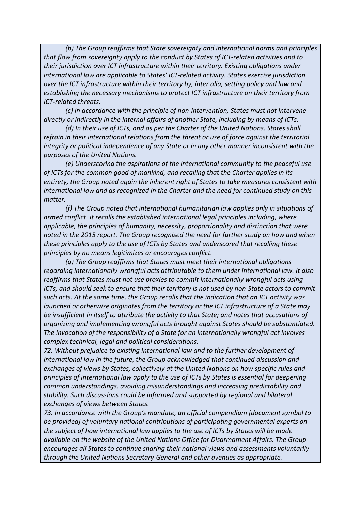*(b) The Group reaffirms that State sovereignty and international norms and principles that flow from sovereignty apply to the conduct by States of ICT-related activities and to their jurisdiction over ICT infrastructure within their territory. Existing obligations under international law are applicable to States' ICT-related activity. States exercise jurisdiction over the ICT infrastructure within their territory by, inter alia, setting policy and law and establishing the necessary mechanisms to protect ICT infrastructure on their territory from ICT-related threats.* 

*(c) In accordance with the principle of non-intervention, States must not intervene directly or indirectly in the internal affairs of another State, including by means of ICTs.* 

*(d) In their use of ICTs, and as per the Charter of the United Nations, States shall refrain in their international relations from the threat or use of force against the territorial integrity or political independence of any State or in any other manner inconsistent with the purposes of the United Nations.* 

*(e) Underscoring the aspirations of the international community to the peaceful use of ICTs for the common good of mankind, and recalling that the Charter applies in its entirety, the Group noted again the inherent right of States to take measures consistent with international law and as recognized in the Charter and the need for continued study on this matter.* 

*(f) The Group noted that international humanitarian law applies only in situations of armed conflict. It recalls the established international legal principles including, where applicable, the principles of humanity, necessity, proportionality and distinction that were noted in the 2015 report. The Group recognised the need for further study on how and when these principles apply to the use of ICTs by States and underscored that recalling these principles by no means legitimizes or encourages conflict.* 

*(g) The Group reaffirms that States must meet their international obligations regarding internationally wrongful acts attributable to them under international law. It also reaffirms that States must not use proxies to commit internationally wrongful acts using ICTs, and should seek to ensure that their territory is not used by non-State actors to commit such acts. At the same time, the Group recalls that the indication that an ICT activity was launched or otherwise originates from the territory or the ICT infrastructure of a State may be insufficient in itself to attribute the activity to that State; and notes that accusations of organizing and implementing wrongful acts brought against States should be substantiated. The invocation of the responsibility of a State for an internationally wrongful act involves complex technical, legal and political considerations.* 

*72. Without prejudice to existing international law and to the further development of international law in the future, the Group acknowledged that continued discussion and exchanges of views by States, collectively at the United Nations on how specific rules and principles of international law apply to the use of ICTs by States is essential for deepening common understandings, avoiding misunderstandings and increasing predictability and stability. Such discussions could be informed and supported by regional and bilateral exchanges of views between States.* 

*73. In accordance with the Group's mandate, an official compendium [document symbol to be provided] of voluntary national contributions of participating governmental experts on the subject of how international law applies to the use of ICTs by States will be made available on the website of the United Nations Office for Disarmament Affairs. The Group encourages all States to continue sharing their national views and assessments voluntarily through the United Nations Secretary-General and other avenues as appropriate.*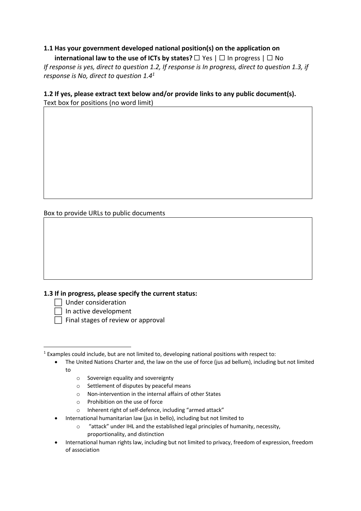# **1.1 Has your government developed national position(s) on the application on**

**international law to the use of ICTs by states?** ☐ Yes | ☐ In progress | ☐ No *If response is yes, direct to question 1.2, If response is In progress, direct to question 1.3, if response is No, direct to question 1.41*

## **1.2 If yes, please extract text below and/or provide links to any public document(s).**  Text box for positions (no word limit)

## Box to provide URLs to public documents

## **1.3 If in progress, please specify the current status:**

 $\sqsupset$  Under consideration

 $\lceil$  In active development

 $\Box$  Final stages of review or approval

- The United Nations Charter and, the law on the use of force (jus ad bellum), including but not limited to
	- o Sovereign equality and sovereignty
	- o Settlement of disputes by peaceful means
	- o Non-intervention in the internal affairs of other States
	- o Prohibition on the use of force
	- o Inherent right of self-defence, including "armed attack"
- International humanitarian law (jus in bello), including but not limited to
	- o "attack" under IHL and the established legal principles of humanity, necessity, proportionality, and distinction
- International human rights law, including but not limited to privacy, freedom of expression, freedom of association

<sup>1</sup> Examples could include, but are not limited to, developing national positions with respect to: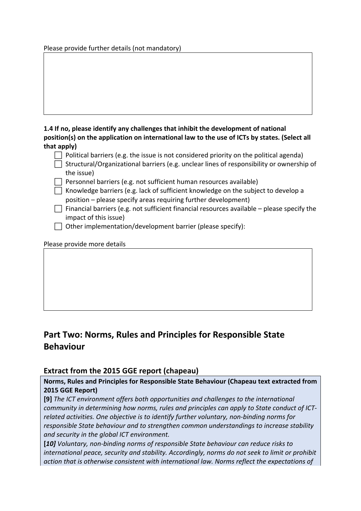|  |  |  |  |  | Please provide further details (not mandatory) |  |
|--|--|--|--|--|------------------------------------------------|--|
|--|--|--|--|--|------------------------------------------------|--|

## **1.4 If no, please identify any challenges that inhibit the development of national position(s) on the application on international law to the use of ICTs by states. (Select all that apply)**

- $\Box$  Political barriers (e.g. the issue is not considered priority on the political agenda)
- $\Box$  Structural/Organizational barriers (e.g. unclear lines of responsibility or ownership of the issue)
- $\Box$  Personnel barriers (e.g. not sufficient human resources available)
	- $\overline{\phantom{a}}$  Knowledge barriers (e.g. lack of sufficient knowledge on the subject to develop a position – please specify areas requiring further development)
- $\Box$  Financial barriers (e.g. not sufficient financial resources available please specify the impact of this issue)
- $\Box$  Other implementation/development barrier (please specify):

### Please provide more details

# **Part Two: Norms, Rules and Principles for Responsible State Behaviour**

# **Extract from the 2015 GGE report (chapeau)**

## **Norms, Rules and Principles for Responsible State Behaviour (Chapeau text extracted from 2015 GGE Report)**

**[9]** *The ICT environment offers both opportunities and challenges to the international community in determining how norms, rules and principles can apply to State conduct of ICTrelated activities. One objective is to identify further voluntary, non-binding norms for responsible State behaviour and to strengthen common understandings to increase stability and security in the global ICT environment.* 

**[***10] Voluntary, non-binding norms of responsible State behaviour can reduce risks to international peace, security and stability. Accordingly, norms do not seek to limit or prohibit action that is otherwise consistent with international law. Norms reflect the expectations of*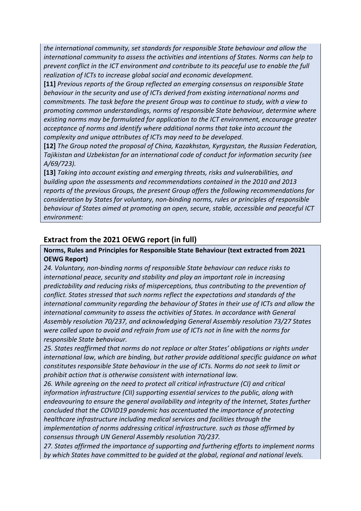*the international community, set standards for responsible State behaviour and allow the international community to assess the activities and intentions of States. Norms can help to prevent conflict in the ICT environment and contribute to its peaceful use to enable the full realization of ICTs to increase global social and economic development.* 

**[11]** *Previous reports of the Group reflected an emerging consensus on responsible State behaviour in the security and use of ICTs derived from existing international norms and commitments. The task before the present Group was to continue to study, with a view to promoting common understandings, norms of responsible State behaviour, determine where existing norms may be formulated for application to the ICT environment, encourage greater acceptance of norms and identify where additional norms that take into account the complexity and unique attributes of ICTs may need to be developed.* 

**[12]** *The Group noted the proposal of China, Kazakhstan, Kyrgyzstan, the Russian Federation, Tajikistan and Uzbekistan for an international code of conduct for information security (see A/69/723).* 

**[13]** *Taking into account existing and emerging threats, risks and vulnerabilities, and building upon the assessments and recommendations contained in the 2010 and 2013 reports of the previous Groups, the present Group offers the following recommendations for consideration by States for voluntary, non-binding norms, rules or principles of responsible behaviour of States aimed at promoting an open, secure, stable, accessible and peaceful ICT environment:*

# **Extract from the 2021 OEWG report (in full)**

### **Norms, Rules and Principles for Responsible State Behaviour (text extracted from 2021 OEWG Report)**

*24. Voluntary, non-binding norms of responsible State behaviour can reduce risks to international peace, security and stability and play an important role in increasing predictability and reducing risks of misperceptions, thus contributing to the prevention of conflict. States stressed that such norms reflect the expectations and standards of the international community regarding the behaviour of States in their use of ICTs and allow the international community to assess the activities of States. In accordance with General Assembly resolution 70/237, and acknowledging General Assembly resolution 73/27 States were called upon to avoid and refrain from use of ICTs not in line with the norms for responsible State behaviour.*

*25. States reaffirmed that norms do not replace or alter States' obligations or rights under international law, which are binding, but rather provide additional specific guidance on what constitutes responsible State behaviour in the use of ICTs. Norms do not seek to limit or prohibit action that is otherwise consistent with international law.* 

*26. While agreeing on the need to protect all critical infrastructure (CI) and critical information infrastructure (CII) supporting essential services to the public, along with endeavouring to ensure the general availability and integrity of the Internet, States further concluded that the COVID19 pandemic has accentuated the importance of protecting healthcare infrastructure including medical services and facilities through the implementation of norms addressing critical infrastructure. such as those affirmed by consensus through UN General Assembly resolution 70/237.*

*27. States affirmed the importance of supporting and furthering efforts to implement norms by which States have committed to be guided at the global, regional and national levels.*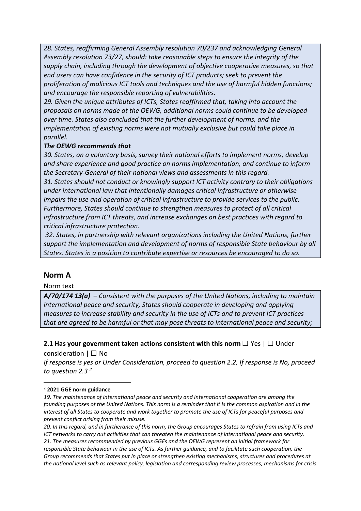*28. States, reaffirming General Assembly resolution 70/237 and acknowledging General Assembly resolution 73/27, should: take reasonable steps to ensure the integrity of the supply chain, including through the development of objective cooperative measures, so that end users can have confidence in the security of ICT products; seek to prevent the proliferation of malicious ICT tools and techniques and the use of harmful hidden functions; and encourage the responsible reporting of vulnerabilities.*

*29. Given the unique attributes of ICTs, States reaffirmed that, taking into account the proposals on norms made at the OEWG, additional norms could continue to be developed over time. States also concluded that the further development of norms, and the implementation of existing norms were not mutually exclusive but could take place in parallel.* 

## *The OEWG recommends that*

*30. States, on a voluntary basis, survey their national efforts to implement norms, develop and share experience and good practice on norms implementation, and continue to inform the Secretary-General of their national views and assessments in this regard.* 

*31. States should not conduct or knowingly support ICT activity contrary to their obligations under international law that intentionally damages critical infrastructure or otherwise impairs the use and operation of critical infrastructure to provide services to the public. Furthermore, States should continue to strengthen measures to protect of all critical infrastructure from ICT threats, and increase exchanges on best practices with regard to critical infrastructure protection.*

*32. States, in partnership with relevant organizations including the United Nations, further support the implementation and development of norms of responsible State behaviour by all States. States in a position to contribute expertise or resources be encouraged to do so.* 

## **Norm A**

### Norm text

*A/70/174 13(a) – Consistent with the purposes of the United Nations, including to maintain international peace and security, States should cooperate in developing and applying measures to increase stability and security in the use of ICTs and to prevent ICT practices that are agreed to be harmful or that may pose threats to international peace and security;*

**2.1 Has your government taken actions consistent with this norm** □ Yes | □ Under

consideration  $| \Box$  No

*If response is yes or Under Consideration, proceed to question 2.2, If response is No, proceed to question 2.3 <sup>2</sup>*

### <sup>2</sup> **2021 GGE norm guidance**

*19. The maintenance of international peace and security and international cooperation are among the founding purposes of the United Nations. This norm is a reminder that it is the common aspiration and in the interest of all States to cooperate and work together to promote the use of ICTs for peaceful purposes and prevent conflict arising from their misuse.* 

*20. In this regard, and in furtherance of this norm, the Group encourages States to refrain from using ICTs and ICT networks to carry out activities that can threaten the maintenance of international peace and security.* 

*21. The measures recommended by previous GGEs and the OEWG represent an initial framework for responsible State behaviour in the use of ICTs. As further guidance, and to facilitate such cooperation, the Group recommends that States put in place or strengthen existing mechanisms, structures and procedures at the national level such as relevant policy, legislation and corresponding review processes; mechanisms for crisis*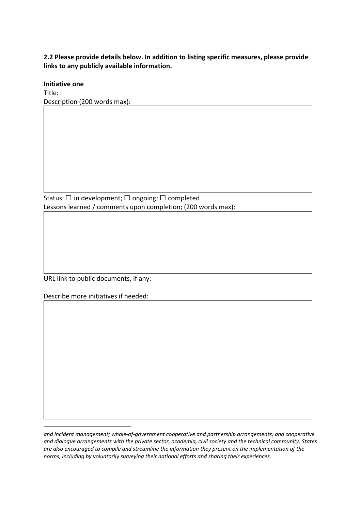**2.2 Please provide details below. In addition to listing specific measures, please provide links to any publicly available information.** 

**Initiative one**

Title:

Description (200 words max):

Status:  $\Box$  in development;  $\Box$  ongoing;  $\Box$  completed Lessons learned / comments upon completion; (200 words max):

URL link to public documents, if any:

Describe more initiatives if needed:

*and incident management; whole-of-government cooperative and partnership arrangements; and cooperative and dialogue arrangements with the private sector, academia, civil society and the technical community. States are also encouraged to compile and streamline the information they present on the implementation of the norms, including by voluntarily surveying their national efforts and sharing their experiences.*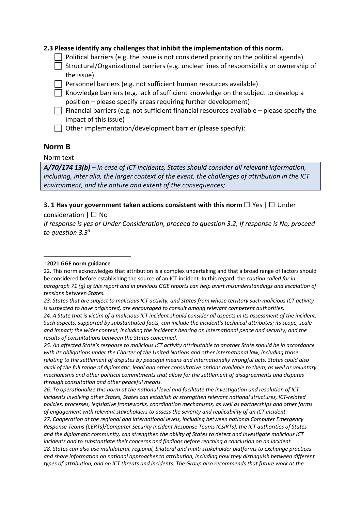### **2.3 Please identify any challenges that inhibit the implementation of this norm.**

|  |  |  |  | $\Box$ Political barriers (e.g. the issue is not considered priority on the political agenda) |
|--|--|--|--|-----------------------------------------------------------------------------------------------|
|--|--|--|--|-----------------------------------------------------------------------------------------------|

- I Structural/Organizational barriers (e.g. unclear lines of responsibility or ownership of the issue)
- $\Box$  Personnel barriers (e.g. not sufficient human resources available)
- $\Box$  Knowledge barriers (e.g. lack of sufficient knowledge on the subject to develop a position – please specify areas requiring further development)
- $\Box$  Financial barriers (e.g. not sufficient financial resources available please specify the impact of this issue)
- $\Box$  Other implementation/development barrier (please specify):

# **Norm B**

## Norm text

*A/70/174 13(b) – In case of ICT incidents, States should consider all relevant information, including, inter alia, the larger context of the event, the challenges of attribution in the ICT environment, and the nature and extent of the consequences;*

## **3. 1 Has your government taken actions consistent with this norm** □ Yes | □ Under

### consideration  $| \Box$  No

*If response is yes or Under Consideration, proceed to question 3.2, If response is No, proceed to question 3.33*

### <sup>3</sup> **2021 GGE norm guidance**

*24. A State that is victim of a malicious ICT incident should consider all aspects in its assessment of the incident. Such aspects, supported by substantiated facts, can include the incident's technical attributes; its scope, scale and impact; the wider context, including the incident's bearing on international peace and security; and the results of consultations between the States concerned.* 

*25. An affected State's response to malicious ICT activity attributable to another State should be in accordance with its obligations under the Charter of the United Nations and other international law, including those relating to the settlement of disputes by peaceful means and internationally wrongful acts. States could also avail of the full range of diplomatic, legal and other consultative options available to them, as well as voluntary mechanisms and other political commitments that allow for the settlement of disagreements and disputes through consultation and other peaceful means.* 

*26. To operationalize this norm at the national level and facilitate the investigation and resolution of ICT incidents involving other States, States can establish or strengthen relevant national structures, ICT-related policies, processes, legislative frameworks, coordination mechanisms, as well as partnerships and other forms of engagement with relevant stakeholders to assess the severity and replicability of an ICT incident.* 

*27. Cooperation at the regional and international levels, including between national Computer Emergency Response Teams (CERTs)/Computer Security Incident Response Teams (CSIRTs), the ICT authorities of States and the diplomatic community, can strengthen the ability of States to detect and investigate malicious ICT incidents and to substantiate their concerns and findings before reaching a conclusion on an incident. 28. States can also use multilateral, regional, bilateral and multi-stakeholder platforms to exchange practices and share information on national approaches to attribution, including how they distinguish between different types of attribution, and on ICT threats and incidents. The Group also recommends that future work at the* 

<sup>22.</sup> This norm acknowledges that attribution is a complex undertaking and that a broad range of factors should be considered before establishing the source of an ICT incident. In this regard, the *caution called for in paragraph 71 (g) of this report and in previous GGE reports can help avert misunderstandings and escalation of tensions between States.* 

*<sup>23.</sup> States that are subject to malicious ICT activity, and States from whose territory such malicious ICT activity is suspected to have originated, are encouraged to consult among relevant competent authorities.*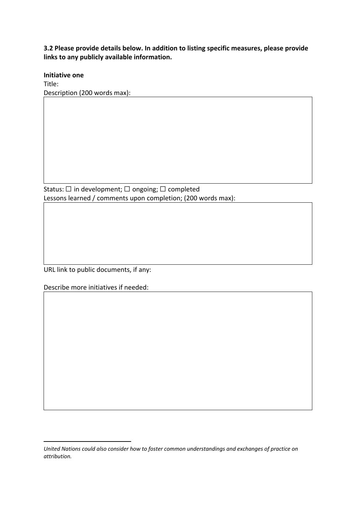**3.2 Please provide details below. In addition to listing specific measures, please provide links to any publicly available information.** 

**Initiative one**

Title: Description (200 words max):

Status:  $\Box$  in development;  $\Box$  ongoing;  $\Box$  completed Lessons learned / comments upon completion; (200 words max):

URL link to public documents, if any:

Describe more initiatives if needed:

*United Nations could also consider how to foster common understandings and exchanges of practice on attribution.*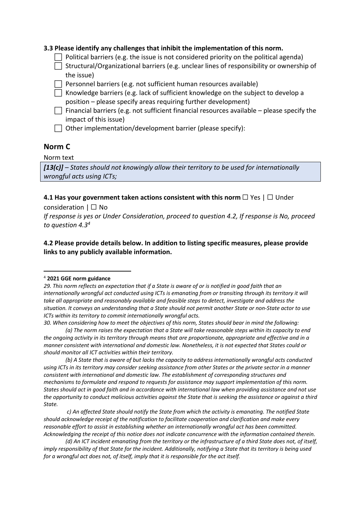### **3.3 Please identify any challenges that inhibit the implementation of this norm.**

| $\Box$ Political barriers (e.g. the issue is not considered priority on the political agenda) |  |  |  |
|-----------------------------------------------------------------------------------------------|--|--|--|
|                                                                                               |  |  |  |

- l Structural/Organizational barriers (e.g. unclear lines of responsibility or ownership of the issue)
- $\Box$  Personnel barriers (e.g. not sufficient human resources available)
- $\Box$  Knowledge barriers (e.g. lack of sufficient knowledge on the subject to develop a position – please specify areas requiring further development)
- $\Box$  Financial barriers (e.g. not sufficient financial resources available please specify the impact of this issue)
- $\Box$  Other implementation/development barrier (please specify):

# **Norm C**

### Norm text

*[13(c)] – States should not knowingly allow their territory to be used for internationally wrongful acts using ICTs;*

**4.1 Has your government taken actions consistent with this norm** □ Yes | □ Under

### consideration  $| \Box$  No

*If response is yes or Under Consideration, proceed to question 4.2, If response is No, proceed to question 4.34*

**4.2 Please provide details below. In addition to listing specific measures, please provide links to any publicly available information.** 

### <sup>4</sup> **2021 GGE norm guidance**

*30. When considering how to meet the objectives of this norm, States should bear in mind the following:* 

*(a) The norm raises the expectation that a State will take reasonable steps within its capacity to end the ongoing activity in its territory through means that are proportionate, appropriate and effective and in a manner consistent with international and domestic law. Nonetheless, it is not expected that States could or should monitor all ICT activities within their territory.* 

*(b) A State that is aware of but lacks the capacity to address internationally wrongful acts conducted using ICTs in its territory may consider seeking assistance from other States or the private sector in a manner consistent with international and domestic law. The establishment of corresponding structures and mechanisms to formulate and respond to requests for assistance may support implementation of this norm. States should act in good faith and in accordance with international law when providing assistance and not use the opportunity to conduct malicious activities against the State that is seeking the assistance or against a third State.* 

*c) An affected State should notify the State from which the activity is emanating. The notified State should acknowledge receipt of the notification to facilitate cooperation and clarification and make every reasonable effort to assist in establishing whether an internationally wrongful act has been committed. Acknowledging the receipt of this notice does not indicate concurrence with the information contained therein.* 

*(d) An ICT incident emanating from the territory or the infrastructure of a third State does not, of itself, imply responsibility of that State for the incident. Additionally, notifying a State that its territory is being used for a wrongful act does not, of itself, imply that it is responsible for the act itself.*

*<sup>29.</sup> This norm reflects an expectation that if a State is aware of or is notified in good faith that an internationally wrongful act conducted using ICTs is emanating from or transiting through its territory it will take all appropriate and reasonably available and feasible steps to detect, investigate and address the situation. It conveys an understanding that a State should not permit another State or non-State actor to use ICTs within its territory to commit internationally wrongful acts.*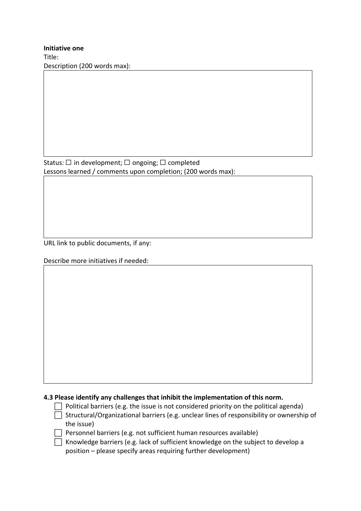**Initiative one**

Title: Description (200 words max):

Status:  $\Box$  in development;  $\Box$  ongoing;  $\Box$  completed Lessons learned / comments upon completion; (200 words max):

URL link to public documents, if any:

Describe more initiatives if needed:

## **4.3 Please identify any challenges that inhibit the implementation of this norm.**

- $\Box$  Political barriers (e.g. the issue is not considered priority on the political agenda)
- $\Box$  Structural/Organizational barriers (e.g. unclear lines of responsibility or ownership of the issue)
- $\Box$  Personnel barriers (e.g. not sufficient human resources available)
- $\Box$  Knowledge barriers (e.g. lack of sufficient knowledge on the subject to develop a position – please specify areas requiring further development)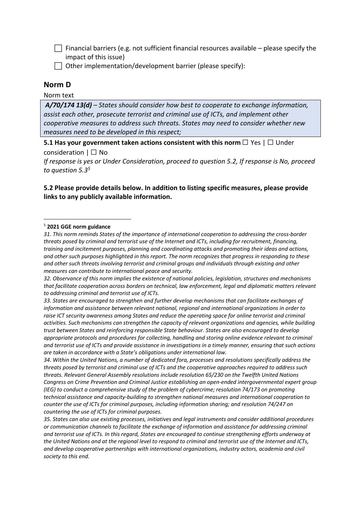**Financial barriers (e.g. not sufficient financial resources available – please specify the** impact of this issue)

 $\Box$  Other implementation/development barrier (please specify):

# **Norm D**

Norm text

*A/70/174 13(d) – States should consider how best to cooperate to exchange information, assist each other, prosecute terrorist and criminal use of ICTs, and implement other cooperative measures to address such threats. States may need to consider whether new measures need to be developed in this respect;*

**5.1 Has your government taken actions consistent with this norm** □ Yes | □ Under consideration | ☐ No

*If response is yes or Under Consideration, proceed to question 5.2, If response is No, proceed to question 5.35*

### **5.2 Please provide details below. In addition to listing specific measures, please provide links to any publicly available information.**

*32. Observance of this norm implies the existence of national policies, legislation, structures and mechanisms that facilitate cooperation across borders on technical, law enforcement, legal and diplomatic matters relevant to addressing criminal and terrorist use of ICTs.* 

*33. States are encouraged to strengthen and further develop mechanisms that can facilitate exchanges of information and assistance between relevant national, regional and international organizations in order to raise ICT security awareness among States and reduce the operating space for online terrorist and criminal activities. Such mechanisms can strengthen the capacity of relevant organizations and agencies, while building trust between States and reinforcing responsible State behaviour. States are also encouraged to develop appropriate protocols and procedures for collecting, handling and storing online evidence relevant to criminal and terrorist use of ICTs and provide assistance in investigations in a timely manner, ensuring that such actions are taken in accordance with a State's obligations under international law.* 

*34. Within the United Nations, a number of dedicated fora, processes and resolutions specifically address the threats posed by terrorist and criminal use of ICTs and the cooperative approaches required to address such threats. Relevant General Assembly resolutions include resolution 65/230 on the Twelfth United Nations Congress on Crime Prevention and Criminal Justice establishing an open-ended intergovernmental expert group (IEG) to conduct a comprehensive study of the problem of cybercrime; resolution 74/173 on promoting technical assistance and capacity-building to strengthen national measures and international cooperation to counter the use of ICTs for criminal purposes, including information sharing; and resolution 74/247 on countering the use of ICTs for criminal purposes.*

*35. States can also use existing processes, initiatives and legal instruments and consider additional procedures or communication channels to facilitate the exchange of information and assistance for addressing criminal and terrorist use of ICTs. In this regard, States are encouraged to continue strengthening efforts underway at the United Nations and at the regional level to respond to criminal and terrorist use of the Internet and ICTs, and develop cooperative partnerships with international organizations, industry actors, academia and civil society to this end.*

<sup>5</sup> **2021 GGE norm guidance**

*<sup>31.</sup> This norm reminds States of the importance of international cooperation to addressing the cross-border threats posed by criminal and terrorist use of the Internet and ICTs, including for recruitment, financing, training and incitement purposes, planning and coordinating attacks and promoting their ideas and actions, and other such purposes highlighted in this report. The norm recognizes that progress in responding to these and other such threats involving terrorist and criminal groups and individuals through existing and other measures can contribute to international peace and security.*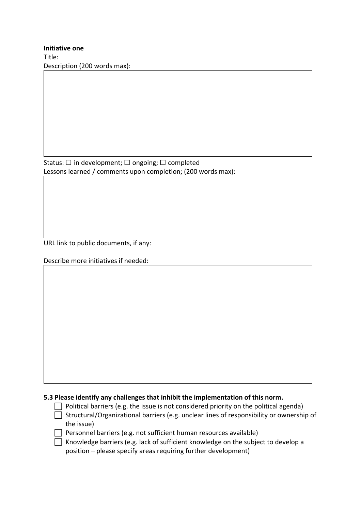**Initiative one**

Title: Description (200 words max):

Status:  $\Box$  in development;  $\Box$  ongoing;  $\Box$  completed Lessons learned / comments upon completion; (200 words max):

URL link to public documents, if any:

Describe more initiatives if needed:

## **5.3 Please identify any challenges that inhibit the implementation of this norm.**

- $\Box$  Political barriers (e.g. the issue is not considered priority on the political agenda)
- $\Box$  Structural/Organizational barriers (e.g. unclear lines of responsibility or ownership of the issue)
- $\Box$  Personnel barriers (e.g. not sufficient human resources available)
- $\Box$  Knowledge barriers (e.g. lack of sufficient knowledge on the subject to develop a position – please specify areas requiring further development)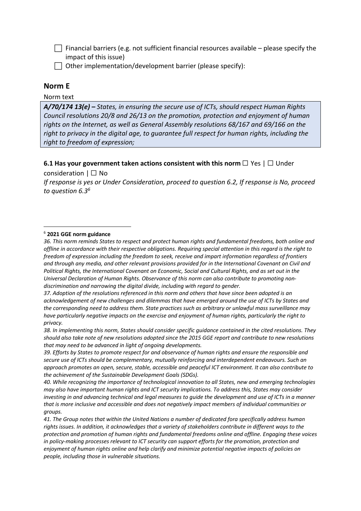**Financial barriers (e.g. not sufficient financial resources available – please specify the** impact of this issue)

 $\Box$  Other implementation/development barrier (please specify):

### **Norm E**

Norm text

*A/70/174 13(e) – States, in ensuring the secure use of ICTs, should respect Human Rights Council resolutions 20/8 and 26/13 on the promotion, protection and enjoyment of human rights on the Internet, as well as General Assembly resolutions 68/167 and 69/166 on the right to privacy in the digital age, to guarantee full respect for human rights, including the right to freedom of expression;*

**6.1 Has your government taken actions consistent with this norm** □ Yes | □ Under

consideration  $| \Box$  No

*If response is yes or Under Consideration, proceed to question 6.2, If response is No, proceed to question 6.36*

### <sup>6</sup> **2021 GGE norm guidance**

*37. Adoption of the resolutions referenced in this norm and others that have since been adopted is an acknowledgement of new challenges and dilemmas that have emerged around the use of ICTs by States and the corresponding need to address them. State practices such as arbitrary or unlawful mass surveillance may have particularly negative impacts on the exercise and enjoyment of human rights, particularly the right to privacy.* 

*38. In implementing this norm, States should consider specific guidance contained in the cited resolutions. They should also take note of new resolutions adopted since the 2015 GGE report and contribute to new resolutions that may need to be advanced in light of ongoing developments.* 

*39. Efforts by States to promote respect for and observance of human rights and ensure the responsible and secure use of ICTs should be complementary, mutually reinforcing and interdependent endeavours. Such an approach promotes an open, secure, stable, accessible and peaceful ICT environment. It can also contribute to the achievement of the Sustainable Development Goals (SDGs).* 

*40. While recognizing the importance of technological innovation to all States, new and emerging technologies may also have important human rights and ICT security implications. To address this, States may consider investing in and advancing technical and legal measures to guide the development and use of ICTs in a manner that is more inclusive and accessible and does not negatively impact members of individual communities or groups.* 

*41. The Group notes that within the United Nations a number of dedicated fora specifically address human rights issues. In addition, it acknowledges that a variety of stakeholders contribute in different ways to the protection and promotion of human rights and fundamental freedoms online and offline. Engaging these voices in policy-making processes relevant to ICT security can support efforts for the promotion, protection and enjoyment of human rights online and help clarify and minimize potential negative impacts of policies on people, including those in vulnerable situations.*

*<sup>36.</sup> This norm reminds States to respect and protect human rights and fundamental freedoms, both online and offline in accordance with their respective obligations. Requiring special attention in this regard is the right to freedom of expression including the freedom to seek, receive and impart information regardless of frontiers and through any media, and other relevant provisions provided for in the International Covenant on Civil and Political Rights, the International Covenant on Economic, Social and Cultural Rights, and as set out in the Universal Declaration of Human Rights. Observance of this norm can also contribute to promoting nondiscrimination and narrowing the digital divide, including with regard to gender.*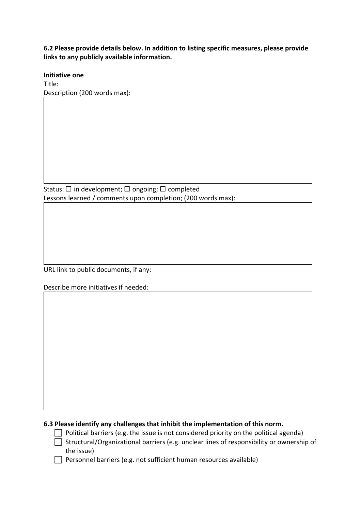**6.2 Please provide details below. In addition to listing specific measures, please provide links to any publicly available information.** 

**Initiative one**

Title: Description (200 words max):

Status:  $\Box$  in development;  $\Box$  ongoing;  $\Box$  completed Lessons learned / comments upon completion; (200 words max):

URL link to public documents, if any:

Describe more initiatives if needed:

**6.3 Please identify any challenges that inhibit the implementation of this norm.**

- $\Box$  Political barriers (e.g. the issue is not considered priority on the political agenda)
- $\Box$  Structural/Organizational barriers (e.g. unclear lines of responsibility or ownership of the issue)
- $\Box$  Personnel barriers (e.g. not sufficient human resources available)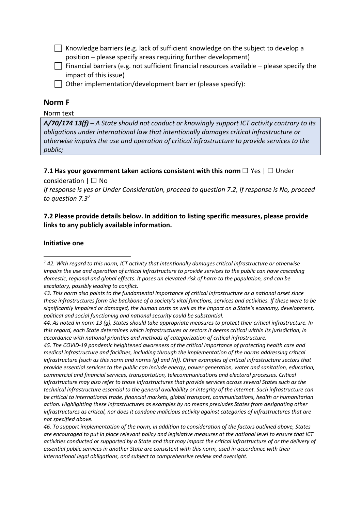$\Box$  Knowledge barriers (e.g. lack of sufficient knowledge on the subject to develop a position – please specify areas requiring further development)

 $\Box$  Financial barriers (e.g. not sufficient financial resources available – please specify the impact of this issue)

 $\Box$  Other implementation/development barrier (please specify):

# **Norm F**

### Norm text

*A/70/174 13(f) – A State should not conduct or knowingly support ICT activity contrary to its obligations under international law that intentionally damages critical infrastructure or otherwise impairs the use and operation of critical infrastructure to provide services to the public;*

**7.1 Has your government taken actions consistent with this norm** □ Yes | □ Under consideration  $| \Box$  No

*If response is yes or Under Consideration, proceed to question 7.2, If response is No, proceed to question 7.37*

## **7.2 Please provide details below. In addition to listing specific measures, please provide links to any publicly available information.**

### **Initiative one**

*45. The COVID-19 pandemic heightened awareness of the critical importance of protecting health care and medical infrastructure and facilities, including through the implementation of the norms addressing critical infrastructure (such as this norm and norms (g) and (h)). Other examples of critical infrastructure sectors that provide essential services to the public can include energy, power generation, water and sanitation, education, commercial and financial services, transportation, telecommunications and electoral processes. Critical infrastructure may also refer to those infrastructures that provide services across several States such as the technical infrastructure essential to the general availability or integrity of the Internet. Such infrastructure can be critical to international trade, financial markets, global transport, communications, health or humanitarian action. Highlighting these infrastructures as examples by no means precludes States from designating other infrastructures as critical, nor does it condone malicious activity against categories of infrastructures that are not specified above.* 

*46. To support implementation of the norm, in addition to consideration of the factors outlined above, States are encouraged to put in place relevant policy and legislative measures at the national level to ensure that ICT*  activities conducted or supported by a State and that may impact the critical infrastructure of or the delivery of *essential public services in another State are consistent with this norm, used in accordance with their international legal obligations, and subject to comprehensive review and oversight.*

<sup>7</sup> *42. With regard to this norm, ICT activity that intentionally damages critical infrastructure or otherwise impairs the use and operation of critical infrastructure to provide services to the public can have cascading domestic, regional and global effects. It poses an elevated risk of harm to the population, and can be escalatory, possibly leading to conflict.* 

*<sup>43.</sup> This norm also points to the fundamental importance of critical infrastructure as a national asset since these infrastructures form the backbone of a society's vital functions, services and activities. If these were to be significantly impaired or damaged, the human costs as well as the impact on a State's economy, development, political and social functioning and national security could be substantial.* 

*<sup>44.</sup> As noted in norm 13 (g), States should take appropriate measures to protect their critical infrastructure. In this regard, each State determines which infrastructures or sectors it deems critical within its jurisdiction, in accordance with national priorities and methods of categorization of critical infrastructure.*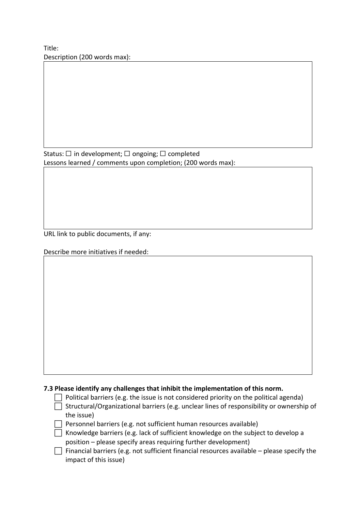Title: Description (200 words max):

Status:  $\Box$  in development;  $\Box$  ongoing;  $\Box$  completed Lessons learned / comments upon completion; (200 words max):

URL link to public documents, if any:

Describe more initiatives if needed:

## **7.3 Please identify any challenges that inhibit the implementation of this norm.**

- $\Box$  Political barriers (e.g. the issue is not considered priority on the political agenda)
- $\Box$  Structural/Organizational barriers (e.g. unclear lines of responsibility or ownership of the issue)
- $\Box$  Personnel barriers (e.g. not sufficient human resources available)
- $\Box$  Knowledge barriers (e.g. lack of sufficient knowledge on the subject to develop a position – please specify areas requiring further development)
- $\Box$  Financial barriers (e.g. not sufficient financial resources available please specify the impact of this issue)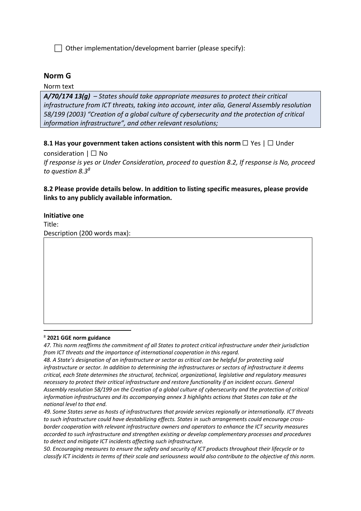$\Box$  Other implementation/development barrier (please specify):

# **Norm G**

Norm text

*A/70/174 13(g) – States should take appropriate measures to protect their critical infrastructure from ICT threats, taking into account, inter alia, General Assembly resolution 58/199 (2003) "Creation of a global culture of cybersecurity and the protection of critical information infrastructure", and other relevant resolutions;*

**8.1 Has your government taken actions consistent with this norm** □ Yes | □ Under

consideration | ☐ No

*If response is yes or Under Consideration, proceed to question 8.2, If response is No, proceed to question 8.38*

**8.2 Please provide details below. In addition to listing specific measures, please provide links to any publicly available information.** 

### **Initiative one**

Title<sup>.</sup>

Description (200 words max):

### <sup>8</sup> **2021 GGE norm guidance**

*47. This norm reaffirms the commitment of all States to protect critical infrastructure under their jurisdiction from ICT threats and the importance of international cooperation in this regard.* 

*48. A State's designation of an infrastructure or sector as critical can be helpful for protecting said infrastructure or sector. In addition to determining the infrastructures or sectors of infrastructure it deems critical, each State determines the structural, technical, organizational, legislative and regulatory measures necessary to protect their critical infrastructure and restore functionality if an incident occurs. General Assembly resolution 58/199 on the Creation of a global culture of cybersecurity and the protection of critical information infrastructures and its accompanying annex 3 highlights actions that States can take at the national level to that end.* 

*49. Some States serve as hosts of infrastructures that provide services regionally or internationally. ICT threats to such infrastructure could have destabilizing effects. States in such arrangements could encourage crossborder cooperation with relevant infrastructure owners and operators to enhance the ICT security measures accorded to such infrastructure and strengthen existing or develop complementary processes and procedures to detect and mitigate ICT incidents affecting such infrastructure.* 

*50. Encouraging measures to ensure the safety and security of ICT products throughout their lifecycle or to classify ICT incidents in terms of their scale and seriousness would also contribute to the objective of this norm.*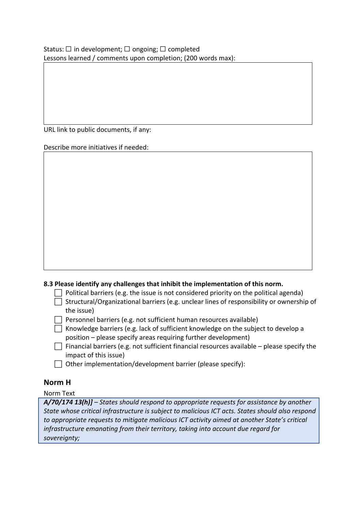Status:  $\Box$  in development;  $\Box$  ongoing;  $\Box$  completed Lessons learned / comments upon completion; (200 words max):

URL link to public documents, if any:

Describe more initiatives if needed:

## **8.3 Please identify any challenges that inhibit the implementation of this norm.**

 $\Box$  Political barriers (e.g. the issue is not considered priority on the political agenda)

| $\Box$ Structural/Organizational barriers (e.g. unclear lines of responsibility or ownership of |
|-------------------------------------------------------------------------------------------------|
| the issue)                                                                                      |

- $\vert \ \vert$  Personnel barriers (e.g. not sufficient human resources available)
- $\Box$  Knowledge barriers (e.g. lack of sufficient knowledge on the subject to develop a position – please specify areas requiring further development)
- $\Box$  Financial barriers (e.g. not sufficient financial resources available please specify the impact of this issue)
- $\Box$  Other implementation/development barrier (please specify):

## **Norm H**

## Norm Text

*A/70/174 13(h)] – States should respond to appropriate requests for assistance by another State whose critical infrastructure is subject to malicious ICT acts. States should also respond to appropriate requests to mitigate malicious ICT activity aimed at another State's critical infrastructure emanating from their territory, taking into account due regard for sovereignty;*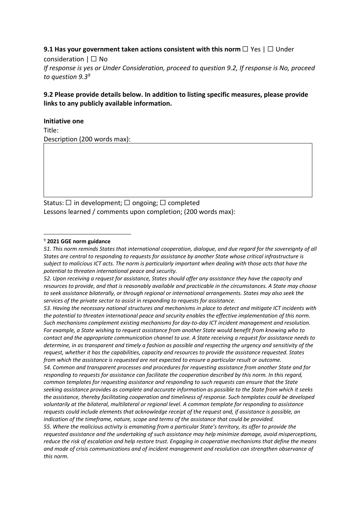### **9.1 Has your government taken actions consistent with this norm** □ Yes | □ Under

consideration | ☐ No *If response is yes or Under Consideration, proceed to question 9.2, If response is No, proceed to question 9.39*

## **9.2 Please provide details below. In addition to listing specific measures, please provide links to any publicly available information.**

### **Initiative one**

Title:

Description (200 words max):

Status:  $\Box$  in development;  $\Box$  ongoing;  $\Box$  completed Lessons learned / comments upon completion; (200 words max):

### <sup>9</sup> **2021 GGE norm guidance**

*52. Upon receiving a request for assistance, States should offer any assistance they have the capacity and resources to provide, and that is reasonably available and practicable in the circumstances. A State may choose to seek assistance bilaterally, or through regional or international arrangements. States may also seek the services of the private sector to assist in responding to requests for assistance.* 

*53. Having the necessary national structures and mechanisms in place to detect and mitigate ICT incidents with the potential to threaten international peace and security enables the effective implementation of this norm. Such mechanisms complement existing mechanisms for day-to-day ICT incident management and resolution. For example, a State wishing to request assistance from another State would benefit from knowing who to contact and the appropriate communication channel to use. A State receiving a request for assistance needs to determine, in as transparent and timely a fashion as possible and respecting the urgency and sensitivity of the request, whether it has the capabilities, capacity and resources to provide the assistance requested. States from which the assistance is requested are not expected to ensure a particular result or outcome. 54. Common and transparent processes and procedures for requesting assistance from another State and for responding to requests for assistance can facilitate the cooperation described by this norm. In this regard, common templates for requesting assistance and responding to such requests can ensure that the State seeking assistance provides as complete and accurate information as possible to the State from which it seeks the assistance, thereby facilitating cooperation and timeliness of response. Such templates could be developed voluntarily at the bilateral, multilateral or regional level. A common template for responding to assistance requests could include elements that acknowledge receipt of the request and, if assistance is possible, an indication of the timeframe, nature, scope and terms of the assistance that could be provided. 55. Where the malicious activity is emanating from a particular State's territory, its offer to provide the requested assistance and the undertaking of such assistance may help minimize damage, avoid misperceptions, reduce the risk of escalation and help restore trust. Engaging in cooperative mechanisms that define the means and mode of crisis communications and of incident management and resolution can strengthen observance of this norm.*

*<sup>51.</sup> This norm reminds States that international cooperation, dialogue, and due regard for the sovereignty of all States are central to responding to requests for assistance by another State whose critical infrastructure is subject to malicious ICT acts. The norm is particularly important when dealing with those acts that have the potential to threaten international peace and security.*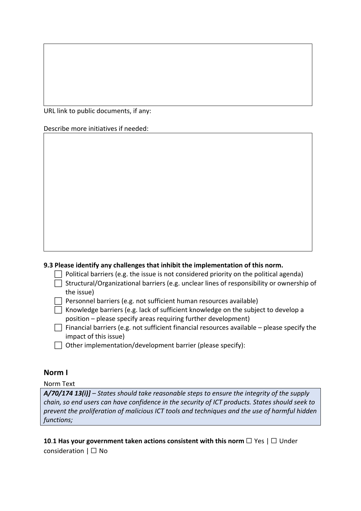URL link to public documents, if any:

Describe more initiatives if needed:

## **9.3 Please identify any challenges that inhibit the implementation of this norm.**

Political barriers (e.g. the issue is not considered priority on the political agenda)

- $\Box$  Structural/Organizational barriers (e.g. unclear lines of responsibility or ownership of the issue)
- $\Box$  Personnel barriers (e.g. not sufficient human resources available)

 $\Box$  Knowledge barriers (e.g. lack of sufficient knowledge on the subject to develop a position – please specify areas requiring further development)

- **Financial barriers (e.g. not sufficient financial resources available please specify the** impact of this issue)
- $\Box$  Other implementation/development barrier (please specify):

## **Norm I**

Norm Text

*A/70/174 13(i)] – States should take reasonable steps to ensure the integrity of the supply chain, so end users can have confidence in the security of ICT products. States should seek to prevent the proliferation of malicious ICT tools and techniques and the use of harmful hidden functions;*

**10.1 Has your government taken actions consistent with this norm** □ Yes | □ Under consideration | ☐ No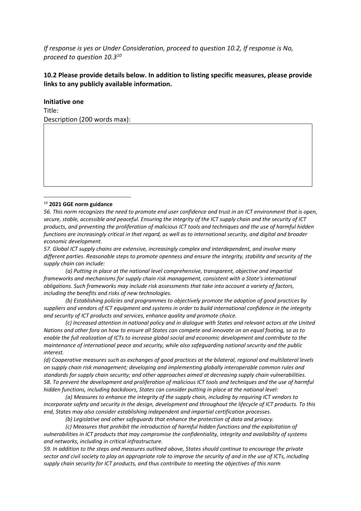*If response is yes or Under Consideration, proceed to question 10.2, If response is No, proceed to question 10.310*

**10.2 Please provide details below. In addition to listing specific measures, please provide links to any publicly available information.** 

#### **Initiative one**

Title: Description (200 words max):

#### <sup>10</sup> **2021 GGE norm guidance**

*56. This norm recognizes the need to promote end user confidence and trust in an ICT environment that is open, secure, stable, accessible and peaceful. Ensuring the integrity of the ICT supply chain and the security of ICT products, and preventing the proliferation of malicious ICT tools and techniques and the use of harmful hidden functions are increasingly critical in that regard, as well as to international security, and digital and broader economic development.* 

*57. Global ICT supply chains are extensive, increasingly complex and interdependent, and involve many different parties. Reasonable steps to promote openness and ensure the integrity, stability and security of the supply chain can include:* 

*(a) Putting in place at the national level comprehensive, transparent, objective and impartial frameworks and mechanisms for supply chain risk management, consistent with a State's international obligations. Such frameworks may include risk assessments that take into account a variety of factors, including the benefits and risks of new technologies.* 

*(b) Establishing policies and programmes to objectively promote the adoption of good practices by suppliers and vendors of ICT equipment and systems in order to build international confidence in the integrity and security of ICT products and services, enhance quality and promote choice.* 

*(c) Increased attention in national policy and in dialogue with States and relevant actors at the United Nations and other fora on how to ensure all States can compete and innovate on an equal footing, so as to enable the full realization of ICTs to increase global social and economic development and contribute to the maintenance of international peace and security, while also safeguarding national security and the public interest.* 

*(d) Cooperative measures such as exchanges of good practices at the bilateral, regional and multilateral levels on supply chain risk management; developing and implementing globally interoperable common rules and standards for supply chain security; and other approaches aimed at decreasing supply chain vulnerabilities. 58. To prevent the development and proliferation of malicious ICT tools and techniques and the use of harmful hidden functions, including backdoors, States can consider putting in place at the national level:* 

*(a) Measures to enhance the integrity of the supply chain, including by requiring ICT vendors to incorporate safety and security in the design, development and throughout the lifecycle of ICT products. To this end, States may also consider establishing independent and impartial certification processes.* 

*(b) Legislative and other safeguards that enhance the protection of data and privacy.*

*(c) Measures that prohibit the introduction of harmful hidden functions and the exploitation of vulnerabilities in ICT products that may compromise the confidentiality, integrity and availability of systems and networks, including in critical infrastructure.* 

*59. In addition to the steps and measures outlined above, States should continue to encourage the private sector and civil society to play an appropriate role to improve the security of and in the use of ICTs, including supply chain security for ICT products, and thus contribute to meeting the objectives of this norm*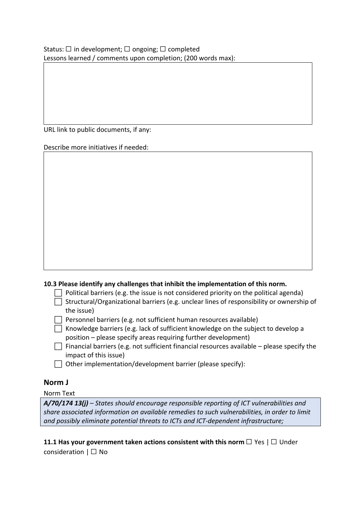Status:  $\Box$  in development;  $\Box$  ongoing;  $\Box$  completed Lessons learned / comments upon completion; (200 words max):

URL link to public documents, if any:

Describe more initiatives if needed:

## **10.3 Please identify any challenges that inhibit the implementation of this norm.**

| $\Box$ Political barriers (e.g. the issue is not considered priority on the political agenda) |  |  |  |  |  |
|-----------------------------------------------------------------------------------------------|--|--|--|--|--|
|-----------------------------------------------------------------------------------------------|--|--|--|--|--|

| $\overline{\phantom{a}}$ Structural/Organizational barriers (e.g. unclear lines of responsibility or ownership of |
|-------------------------------------------------------------------------------------------------------------------|
| the issue)                                                                                                        |

- $\Box$  Personnel barriers (e.g. not sufficient human resources available)
- $\Box$  Knowledge barriers (e.g. lack of sufficient knowledge on the subject to develop a position – please specify areas requiring further development)
- $\Box$  Financial barriers (e.g. not sufficient financial resources available please specify the impact of this issue)
- $\Box$  Other implementation/development barrier (please specify):

# **Norm J**

Norm Text

*A/70/174 13(j) – States should encourage responsible reporting of ICT vulnerabilities and share associated information on available remedies to such vulnerabilities, in order to limit and possibly eliminate potential threats to ICTs and ICT-dependent infrastructure;*

**11.1 Has your government taken actions consistent with this norm** □ Yes | □ Under consideration | ☐ No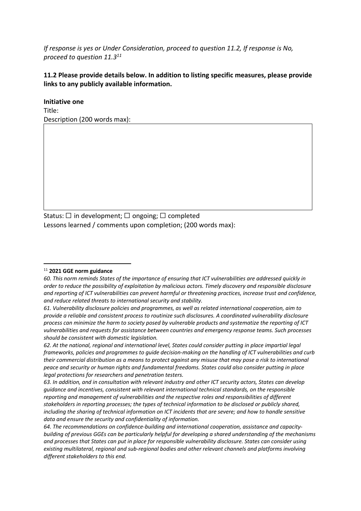*If response is yes or Under Consideration, proceed to question 11.2, If response is No, proceed to question 11.311*

**11.2 Please provide details below. In addition to listing specific measures, please provide links to any publicly available information.** 

### **Initiative one**

Title: Description (200 words max):

Status:  $\Box$  in development;  $\Box$  ongoing;  $\Box$  completed Lessons learned / comments upon completion; (200 words max):

### <sup>11</sup> **2021 GGE norm guidance**

*<sup>60.</sup> This norm reminds States of the importance of ensuring that ICT vulnerabilities are addressed quickly in order to reduce the possibility of exploitation by malicious actors. Timely discovery and responsible disclosure and reporting of ICT vulnerabilities can prevent harmful or threatening practices, increase trust and confidence, and reduce related threats to international security and stability.* 

*<sup>61.</sup> Vulnerability disclosure policies and programmes, as well as related international cooperation, aim to provide a reliable and consistent process to routinize such disclosures. A coordinated vulnerability disclosure process can minimize the harm to society posed by vulnerable products and systematize the reporting of ICT vulnerabilities and requests for assistance between countries and emergency response teams. Such processes should be consistent with domestic legislation.* 

*<sup>62.</sup> At the national, regional and international level, States could consider putting in place impartial legal frameworks, policies and programmes to guide decision-making on the handling of ICT vulnerabilities and curb their commercial distribution as a means to protect against any misuse that may pose a risk to international peace and security or human rights and fundamental freedoms. States could also consider putting in place legal protections for researchers and penetration testers.* 

*<sup>63.</sup> In addition, and in consultation with relevant industry and other ICT security actors, States can develop guidance and incentives, consistent with relevant international technical standards, on the responsible reporting and management of vulnerabilities and the respective roles and responsibilities of different stakeholders in reporting processes; the types of technical information to be disclosed or publicly shared, including the sharing of technical information on ICT incidents that are severe; and how to handle sensitive data and ensure the security and confidentiality of information.* 

*<sup>64.</sup> The recommendations on confidence-building and international cooperation, assistance and capacitybuilding of previous GGEs can be particularly helpful for developing a shared understanding of the mechanisms and processes that States can put in place for responsible vulnerability disclosure. States can consider using existing multilateral, regional and sub-regional bodies and other relevant channels and platforms involving different stakeholders to this end.*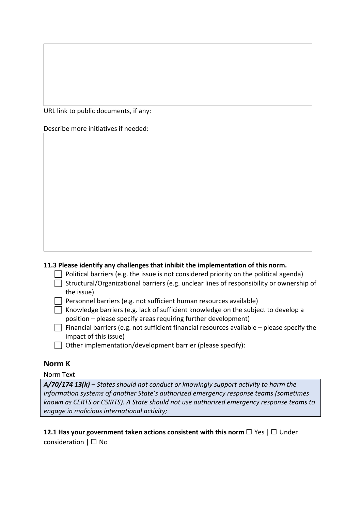URL link to public documents, if any:

Describe more initiatives if needed:

## **11.3 Please identify any challenges that inhibit the implementation of this norm.**

Political barriers (e.g. the issue is not considered priority on the political agenda)

- $\Box$  Structural/Organizational barriers (e.g. unclear lines of responsibility or ownership of the issue)
- $\Box$  Personnel barriers (e.g. not sufficient human resources available)

 $\Box$  Knowledge barriers (e.g. lack of sufficient knowledge on the subject to develop a position – please specify areas requiring further development)

- **Financial barriers (e.g. not sufficient financial resources available please specify the** impact of this issue)
- $\Box$  Other implementation/development barrier (please specify):

# **Norm K**

### Norm Text

*A/70/174 13(k) – States should not conduct or knowingly support activity to harm the information systems of another State's authorized emergency response teams (sometimes known as CERTS or CSIRTS). A State should not use authorized emergency response teams to engage in malicious international activity;*

**12.1 Has your government taken actions consistent with this norm** □ Yes | □ Under consideration | ☐ No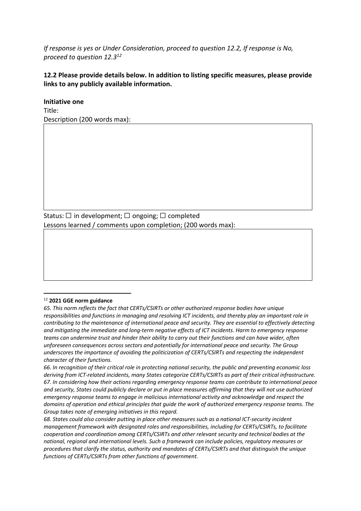*If response is yes or Under Consideration, proceed to question 12.2, If response is No, proceed to question 12.312*

**12.2 Please provide details below. In addition to listing specific measures, please provide links to any publicly available information.** 

### **Initiative one**

Title: Description (200 words max):

Status:  $\Box$  in development;  $\Box$  ongoing;  $\Box$  completed Lessons learned / comments upon completion; (200 words max):

### <sup>12</sup> **2021 GGE norm guidance**

*66. In recognition of their critical role in protecting national security, the public and preventing economic loss deriving from ICT-related incidents, many States categorize CERTs/CSIRTs as part of their critical infrastructure. 67. In considering how their actions regarding emergency response teams can contribute to international peace and security, States could publicly declare or put in place measures affirming that they will not use authorized emergency response teams to engage in malicious international activity and acknowledge and respect the domains of operation and ethical principles that guide the work of authorized emergency response teams. The Group takes note of emerging initiatives in this regard.* 

*68. States could also consider putting in place other measures such as a national ICT-security incident management framework with designated roles and responsibilities, including for CERTs/CSIRTs, to facilitate cooperation and coordination among CERTs/CSIRTs and other relevant security and technical bodies at the national, regional and international levels. Such a framework can include policies, regulatory measures or procedures that clarify the status, authority and mandates of CERTs/CSIRTs and that distinguish the unique functions of CERTs/CSIRTs from other functions of government.*

*<sup>65.</sup> This norm reflects the fact that CERTs/CSIRTs or other authorized response bodies have unique responsibilities and functions in managing and resolving ICT incidents, and thereby play an important role in contributing to the maintenance of international peace and security. They are essential to effectively detecting and mitigating the immediate and long-term negative effects of ICT incidents. Harm to emergency response teams can undermine trust and hinder their ability to carry out their functions and can have wider, often unforeseen consequences across sectors and potentially for international peace and security. The Group underscores the importance of avoiding the politicization of CERTs/CSIRTs and respecting the independent character of their functions.*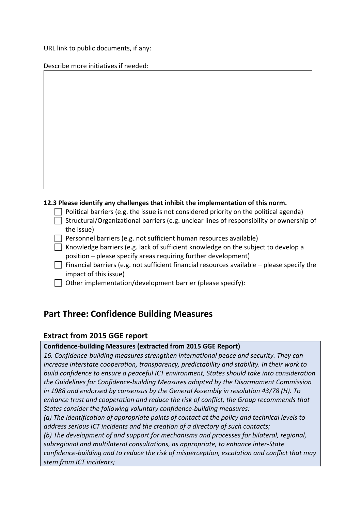### URL link to public documents, if any:

Describe more initiatives if needed:

### **12.3 Please identify any challenges that inhibit the implementation of this norm.**

- $\Box$  Political barriers (e.g. the issue is not considered priority on the political agenda)
- $\Box$  Structural/Organizational barriers (e.g. unclear lines of responsibility or ownership of the issue)
- $\Box$  Personnel barriers (e.g. not sufficient human resources available)
- $\Box$  Knowledge barriers (e.g. lack of sufficient knowledge on the subject to develop a position – please specify areas requiring further development)
- **Financial barriers (e.g. not sufficient financial resources available please specify the** impact of this issue)
- $\Box$  Other implementation/development barrier (please specify):

# **Part Three: Confidence Building Measures**

# **Extract from 2015 GGE report**

### **Confidence-building Measures (extracted from 2015 GGE Report)**

*16. Confidence-building measures strengthen international peace and security. They can increase interstate cooperation, transparency, predictability and stability. In their work to build confidence to ensure a peaceful ICT environment, States should take into consideration the Guidelines for Confidence-building Measures adopted by the Disarmament Commission in 1988 and endorsed by consensus by the General Assembly in resolution 43/78 (H). To enhance trust and cooperation and reduce the risk of conflict, the Group recommends that States consider the following voluntary confidence-building measures:* 

*(a) The identification of appropriate points of contact at the policy and technical levels to address serious ICT incidents and the creation of a directory of such contacts;* 

*(b) The development of and support for mechanisms and processes for bilateral, regional, subregional and multilateral consultations, as appropriate, to enhance inter-State* 

*confidence-building and to reduce the risk of misperception, escalation and conflict that may stem from ICT incidents;*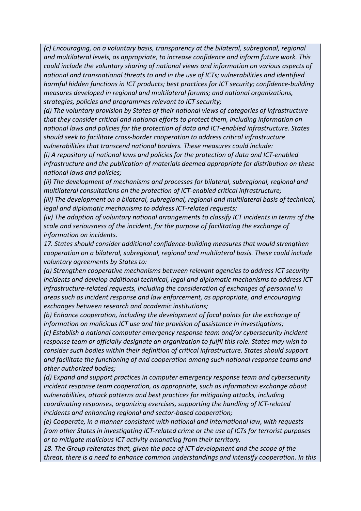*(c) Encouraging, on a voluntary basis, transparency at the bilateral, subregional, regional and multilateral levels, as appropriate, to increase confidence and inform future work. This could include the voluntary sharing of national views and information on various aspects of national and transnational threats to and in the use of ICTs; vulnerabilities and identified harmful hidden functions in ICT products; best practices for ICT security; confidence-building measures developed in regional and multilateral forums; and national organizations, strategies, policies and programmes relevant to ICT security;* 

*(d) The voluntary provision by States of their national views of categories of infrastructure that they consider critical and national efforts to protect them, including information on national laws and policies for the protection of data and ICT-enabled infrastructure. States should seek to facilitate cross-border cooperation to address critical infrastructure vulnerabilities that transcend national borders. These measures could include:* 

*(i) A repository of national laws and policies for the protection of data and ICT-enabled infrastructure and the publication of materials deemed appropriate for distribution on these national laws and policies;* 

*(ii) The development of mechanisms and processes for bilateral, subregional, regional and multilateral consultations on the protection of ICT-enabled critical infrastructure;* 

*(iii) The development on a bilateral, subregional, regional and multilateral basis of technical, legal and diplomatic mechanisms to address ICT-related requests;* 

*(iv) The adoption of voluntary national arrangements to classify ICT incidents in terms of the scale and seriousness of the incident, for the purpose of facilitating the exchange of information on incidents.* 

*17. States should consider additional confidence-building measures that would strengthen cooperation on a bilateral, subregional, regional and multilateral basis. These could include voluntary agreements by States to:*

*(a) Strengthen cooperative mechanisms between relevant agencies to address ICT security incidents and develop additional technical, legal and diplomatic mechanisms to address ICT infrastructure-related requests, including the consideration of exchanges of personnel in areas such as incident response and law enforcement, as appropriate, and encouraging exchanges between research and academic institutions;*

*(b) Enhance cooperation, including the development of focal points for the exchange of information on malicious ICT use and the provision of assistance in investigations;*

*(c) Establish a national computer emergency response team and/or cybersecurity incident response team or officially designate an organization to fulfil this role. States may wish to consider such bodies within their definition of critical infrastructure. States should support and facilitate the functioning of and cooperation among such national response teams and other authorized bodies;*

*(d) Expand and support practices in computer emergency response team and cybersecurity incident response team cooperation, as appropriate, such as information exchange about vulnerabilities, attack patterns and best practices for mitigating attacks, including coordinating responses, organizing exercises, supporting the handling of ICT-related incidents and enhancing regional and sector-based cooperation;*

*(e) Cooperate, in a manner consistent with national and international law, with requests from other States in investigating ICT-related crime or the use of ICTs for terrorist purposes or to mitigate malicious ICT activity emanating from their territory.*

*18. The Group reiterates that, given the pace of ICT development and the scope of the threat, there is a need to enhance common understandings and intensify cooperation. In this*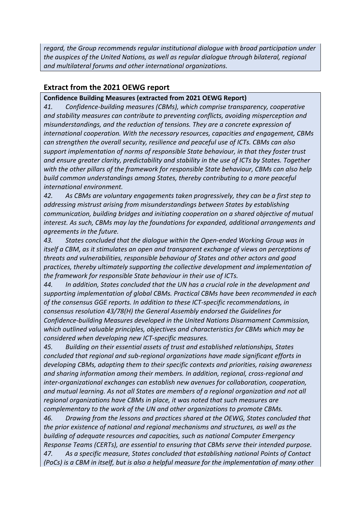*regard, the Group recommends regular institutional dialogue with broad participation under the auspices of the United Nations, as well as regular dialogue through bilateral, regional and multilateral forums and other international organizations.*

# **Extract from the 2021 OEWG report**

**Confidence Building Measures (extracted from 2021 OEWG Report)**

*41. Confidence-building measures (CBMs), which comprise transparency, cooperative and stability measures can contribute to preventing conflicts, avoiding misperception and misunderstandings, and the reduction of tensions. They are a concrete expression of international cooperation. With the necessary resources, capacities and engagement, CBMs can strengthen the overall security, resilience and peaceful use of ICTs. CBMs can also support implementation of norms of responsible State behaviour, in that they foster trust and ensure greater clarity, predictability and stability in the use of ICTs by States. Together with the other pillars of the framework for responsible State behaviour, CBMs can also help build common understandings among States, thereby contributing to a more peaceful international environment.*

*42. As CBMs are voluntary engagements taken progressively, they can be a first step to addressing mistrust arising from misunderstandings between States by establishing communication, building bridges and initiating cooperation on a shared objective of mutual interest. As such, CBMs may lay the foundations for expanded, additional arrangements and agreements in the future.*

*43. States concluded that the dialogue within the Open-ended Working Group was in itself a CBM, as it stimulates an open and transparent exchange of views on perceptions of threats and vulnerabilities, responsible behaviour of States and other actors and good practices, thereby ultimately supporting the collective development and implementation of the framework for responsible State behaviour in their use of ICTs.*

*44. In addition, States concluded that the UN has a crucial role in the development and supporting implementation of global CBMs. Practical CBMs have been recommended in each of the consensus GGE reports. In addition to these ICT-specific recommendations, in consensus resolution 43/78(H) the General Assembly endorsed the Guidelines for Confidence-building Measures developed in the United Nations Disarmament Commission, which outlined valuable principles, objectives and characteristics for CBMs which may be considered when developing new ICT-specific measures.*

*45. Building on their essential assets of trust and established relationships, States concluded that regional and sub-regional organizations have made significant efforts in developing CBMs, adapting them to their specific contexts and priorities, raising awareness and sharing information among their members. In addition, regional, cross-regional and inter-organizational exchanges can establish new avenues for collaboration, cooperation, and mutual learning. As not all States are members of a regional organization and not all regional organizations have CBMs in place, it was noted that such measures are complementary to the work of the UN and other organizations to promote CBMs.*

*46. Drawing from the lessons and practices shared at the OEWG, States concluded that the prior existence of national and regional mechanisms and structures, as well as the building of adequate resources and capacities, such as national Computer Emergency Response Teams (CERTs), are essential to ensuring that CBMs serve their intended purpose.*

*47. As a specific measure, States concluded that establishing national Points of Contact (PoCs) is a CBM in itself, but is also a helpful measure for the implementation of many other*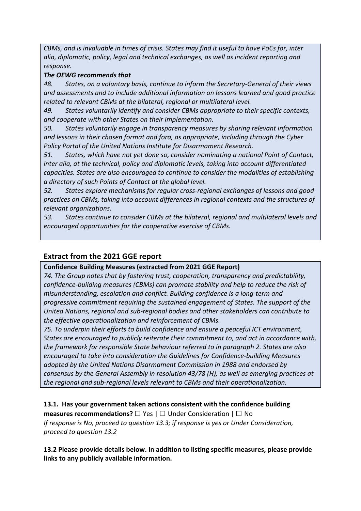*CBMs, and is invaluable in times of crisis. States may find it useful to have PoCs for, inter alia, diplomatic, policy, legal and technical exchanges, as well as incident reporting and response.*

# *The OEWG recommends that*

*48. States, on a voluntary basis, continue to inform the Secretary-General of their views and assessments and to include additional information on lessons learned and good practice related to relevant CBMs at the bilateral, regional or multilateral level.*

*49. States voluntarily identify and consider CBMs appropriate to their specific contexts, and cooperate with other States on their implementation.*

*50. States voluntarily engage in transparency measures by sharing relevant information and lessons in their chosen format and fora, as appropriate, including through the Cyber Policy Portal of the United Nations Institute for Disarmament Research.*

*51. States, which have not yet done so, consider nominating a national Point of Contact, inter alia, at the technical, policy and diplomatic levels, taking into account differentiated capacities. States are also encouraged to continue to consider the modalities of establishing a directory of such Points of Contact at the global level.*

*52. States explore mechanisms for regular cross-regional exchanges of lessons and good practices on CBMs, taking into account differences in regional contexts and the structures of relevant organizations.*

*53. States continue to consider CBMs at the bilateral, regional and multilateral levels and encouraged opportunities for the cooperative exercise of CBMs.*

# **Extract from the 2021 GGE report**

## **Confidence Building Measures (extracted from 2021 GGE Report)**

*74. The Group notes that by fostering trust, cooperation, transparency and predictability, confidence-building measures (CBMs) can promote stability and help to reduce the risk of misunderstanding, escalation and conflict. Building confidence is a long-term and progressive commitment requiring the sustained engagement of States. The support of the United Nations, regional and sub-regional bodies and other stakeholders can contribute to the effective operationalization and reinforcement of CBMs.* 

*75. To underpin their efforts to build confidence and ensure a peaceful ICT environment, States are encouraged to publicly reiterate their commitment to, and act in accordance with, the framework for responsible State behaviour referred to in paragraph 2. States are also encouraged to take into consideration the Guidelines for Confidence-building Measures adopted by the United Nations Disarmament Commission in 1988 and endorsed by consensus by the General Assembly in resolution 43/78 (H), as well as emerging practices at the regional and sub-regional levels relevant to CBMs and their operationalization.*

# **13.1. Has your government taken actions consistent with the confidence building**

**measures recommendations?**  $\Box$  Yes |  $\Box$  Under Consideration |  $\Box$  No *If response is No, proceed to question 13.3; if response is yes or Under Consideration, proceed to question 13.2*

**13.2 Please provide details below. In addition to listing specific measures, please provide links to any publicly available information.**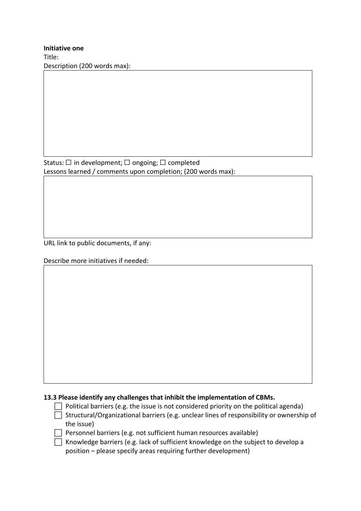**Initiative one**

Title: Description (200 words max):

Status:  $\Box$  in development;  $\Box$  ongoing;  $\Box$  completed Lessons learned / comments upon completion; (200 words max):

URL link to public documents, if any:

Describe more initiatives if needed:

## **13.3 Please identify any challenges that inhibit the implementation of CBMs.**

- $\Box$  Political barriers (e.g. the issue is not considered priority on the political agenda)
- $\Box$  Structural/Organizational barriers (e.g. unclear lines of responsibility or ownership of the issue)
- $\Box$  Personnel barriers (e.g. not sufficient human resources available)

 $\Box$  Knowledge barriers (e.g. lack of sufficient knowledge on the subject to develop a position – please specify areas requiring further development)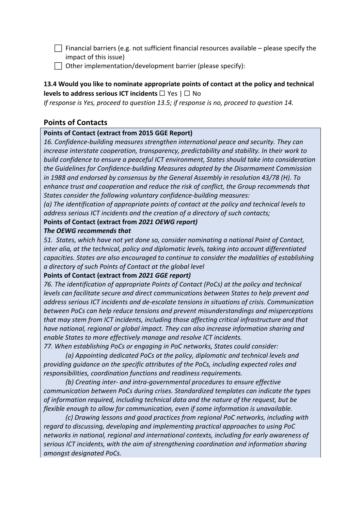Financial barriers (e.g. not sufficient financial resources available – please specify the impact of this issue)

 $\Box$  Other implementation/development barrier (please specify):

# **13.4 Would you like to nominate appropriate points of contact at the policy and technical levels to address serious ICT incidents** ☐ Yes | ☐ No

*If response is Yes, proceed to question 13.5; if response is no, proceed to question 14.*

# **Points of Contacts**

### **Points of Contact (extract from 2015 GGE Report)**

*16. Confidence-building measures strengthen international peace and security. They can increase interstate cooperation, transparency, predictability and stability. In their work to build confidence to ensure a peaceful ICT environment, States should take into consideration the Guidelines for Confidence-building Measures adopted by the Disarmament Commission in 1988 and endorsed by consensus by the General Assembly in resolution 43/78 (H). To enhance trust and cooperation and reduce the risk of conflict, the Group recommends that States consider the following voluntary confidence-building measures:* 

*(a) The identification of appropriate points of contact at the policy and technical levels to address serious ICT incidents and the creation of a directory of such contacts;*

### **Points of Contact (extract from** *2021 OEWG report)*

### *The OEWG recommends that*

*51. States, which have not yet done so, consider nominating a national Point of Contact, inter alia, at the technical, policy and diplomatic levels, taking into account differentiated capacities. States are also encouraged to continue to consider the modalities of establishing a directory of such Points of Contact at the global level*

### **Points of Contact (extract from** *2021 GGE report)*

*76. The identification of appropriate Points of Contact (PoCs) at the policy and technical levels can facilitate secure and direct communications between States to help prevent and address serious ICT incidents and de-escalate tensions in situations of crisis. Communication between PoCs can help reduce tensions and prevent misunderstandings and misperceptions that may stem from ICT incidents, including those affecting critical infrastructure and that have national, regional or global impact. They can also increase information sharing and enable States to more effectively manage and resolve ICT incidents.* 

*77. When establishing PoCs or engaging in PoC networks, States could consider:* 

*(a) Appointing dedicated PoCs at the policy, diplomatic and technical levels and providing guidance on the specific attributes of the PoCs, including expected roles and responsibilities, coordination functions and readiness requirements.* 

*(b) Creating inter- and intra-governmental procedures to ensure effective communication between PoCs during crises. Standardized templates can indicate the types of information required, including technical data and the nature of the request, but be flexible enough to allow for communication, even if some information is unavailable.* 

*(c) Drawing lessons and good practices from regional PoC networks, including with regard to discussing, developing and implementing practical approaches to using PoC networks in national, regional and international contexts, including for early awareness of serious ICT incidents, with the aim of strengthening coordination and information sharing amongst designated PoCs.*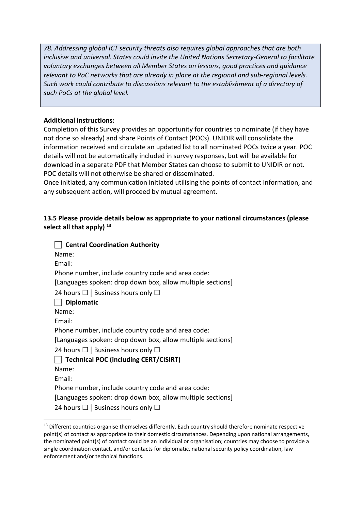*78. Addressing global ICT security threats also requires global approaches that are both inclusive and universal. States could invite the United Nations Secretary-General to facilitate voluntary exchanges between all Member States on lessons, good practices and guidance relevant to PoC networks that are already in place at the regional and sub-regional levels. Such work could contribute to discussions relevant to the establishment of a directory of such PoCs at the global level.*

### **Additional instructions:**

Completion of this Survey provides an opportunity for countries to nominate (if they have not done so already) and share Points of Contact (POCs). UNIDIR will consolidate the information received and circulate an updated list to all nominated POCs twice a year. POC details will not be automatically included in survey responses, but will be available for download in a separate PDF that Member States can choose to submit to UNIDIR or not. POC details will not otherwise be shared or disseminated.

Once initiated, any communication initiated utilising the points of contact information, and any subsequent action, will proceed by mutual agreement.

## **13.5 Please provide details below as appropriate to your national circumstances (please select all that apply) 13**

| <b>Central Coordination Authority</b>                      |
|------------------------------------------------------------|
| Name:                                                      |
| Email:                                                     |
| Phone number, include country code and area code:          |
| [Languages spoken: drop down box, allow multiple sections] |
| 24 hours $\Box$   Business hours only $\Box$               |
| <b>Diplomatic</b>                                          |
| Name:                                                      |
| Email:                                                     |
| Phone number, include country code and area code:          |
| [Languages spoken: drop down box, allow multiple sections] |
| 24 hours $\Box$   Business hours only $\Box$               |
| <b>Technical POC (including CERT/CISIRT)</b>               |
| Name:                                                      |
| Email:                                                     |
| Phone number, include country code and area code:          |
| [Languages spoken: drop down box, allow multiple sections] |

24 hours  $\Box$  | Business hours only  $\Box$ 

<sup>&</sup>lt;sup>13</sup> Different countries organise themselves differently. Each country should therefore nominate respective point(s) of contact as appropriate to their domestic circumstances. Depending upon national arrangements, the nominated point(s) of contact could be an individual or organisation; countries may choose to provide a single coordination contact, and/or contacts for diplomatic, national security policy coordination, law enforcement and/or technical functions.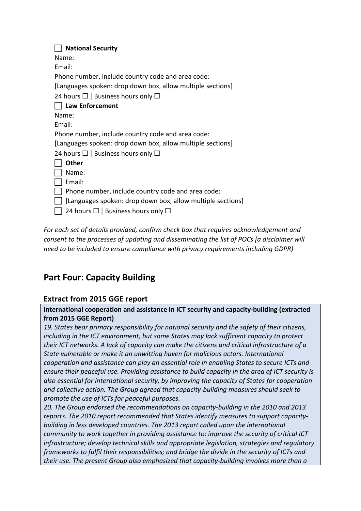| <b>National Security</b>                                   |
|------------------------------------------------------------|
| Name:                                                      |
| Email:                                                     |
| Phone number, include country code and area code:          |
| [Languages spoken: drop down box, allow multiple sections] |
| 24 hours $\Box$   Business hours only $\Box$               |
| <b>Law Enforcement</b>                                     |
| Name:                                                      |
| Email:                                                     |
| Phone number, include country code and area code:          |
| [Languages spoken: drop down box, allow multiple sections] |
| 24 hours $\Box$   Business hours only $\Box$               |
| <b>Other</b>                                               |
| Name:                                                      |
| Email:                                                     |
| Phone number, include country code and area code:          |
| [Languages spoken: drop down box, allow multiple sections] |
| 24 hours $\Box$   Business hours only $\Box$               |

*For each set of details provided, confirm check box that requires acknowledgement and consent to the processes of updating and disseminating the list of POCs [a disclaimer will need to be included to ensure compliance with privacy requirements including GDPR)*

# **Part Four: Capacity Building**

# **Extract from 2015 GGE report**

**International cooperation and assistance in ICT security and capacity-building (extracted from 2015 GGE Report)**

*19. States bear primary responsibility for national security and the safety of their citizens, including in the ICT environment, but some States may lack sufficient capacity to protect their ICT networks. A lack of capacity can make the citizens and critical infrastructure of a State vulnerable or make it an unwitting haven for malicious actors. International cooperation and assistance can play an essential role in enabling States to secure ICTs and ensure their peaceful use. Providing assistance to build capacity in the area of ICT security is also essential for international security, by improving the capacity of States for cooperation and collective action. The Group agreed that capacity-building measures should seek to promote the use of ICTs for peaceful purposes.*

*20. The Group endorsed the recommendations on capacity-building in the 2010 and 2013 reports. The 2010 report recommended that States identify measures to support capacitybuilding in less developed countries. The 2013 report called upon the international community to work together in providing assistance to: improve the security of critical ICT infrastructure; develop technical skills and appropriate legislation, strategies and regulatory frameworks to fulfil their responsibilities; and bridge the divide in the security of ICTs and their use. The present Group also emphasized that capacity-building involves more than a*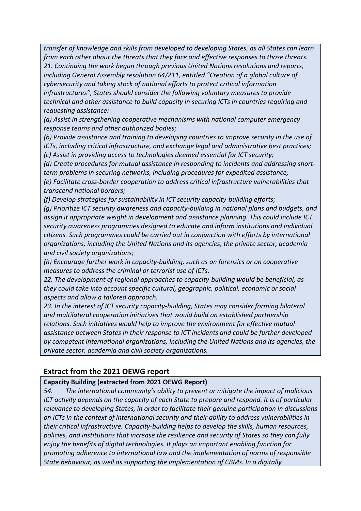*transfer of knowledge and skills from developed to developing States, as all States can learn from each other about the threats that they face and effective responses to those threats. 21. Continuing the work begun through previous United Nations resolutions and reports, including General Assembly resolution 64/211, entitled "Creation of a global culture of cybersecurity and taking stock of national efforts to protect critical information infrastructures", States should consider the following voluntary measures to provide technical and other assistance to build capacity in securing ICTs in countries requiring and requesting assistance:*

*(a) Assist in strengthening cooperative mechanisms with national computer emergency response teams and other authorized bodies;*

*(b) Provide assistance and training to developing countries to improve security in the use of ICTs, including critical infrastructure, and exchange legal and administrative best practices; (c) Assist in providing access to technologies deemed essential for ICT security;*

*(d) Create procedures for mutual assistance in responding to incidents and addressing shortterm problems in securing networks, including procedures for expedited assistance;*

*(e) Facilitate cross-border cooperation to address critical infrastructure vulnerabilities that transcend national borders;*

*(f) Develop strategies for sustainability in ICT security capacity-building efforts;*

*(g) Prioritize ICT security awareness and capacity-building in national plans and budgets, and assign it appropriate weight in development and assistance planning. This could include ICT security awareness programmes designed to educate and inform institutions and individual citizens. Such programmes could be carried out in conjunction with efforts by international organizations, including the United Nations and its agencies, the private sector, academia and civil society organizations;*

*(h) Encourage further work in capacity-building, such as on forensics or on cooperative measures to address the criminal or terrorist use of ICTs.*

*22. The development of regional approaches to capacity-building would be beneficial, as they could take into account specific cultural, geographic, political, economic or social aspects and allow a tailored approach.*

23. In the interest of ICT security capacity-building, States may consider forming bilateral *and multilateral cooperation initiatives that would build on established partnership relations. Such initiatives would help to improve the environment for effective mutual assistance between States in their response to ICT incidents and could be further developed by competent international organizations, including the United Nations and its agencies, the private sector, academia and civil society organizations.*

# **Extract from the 2021 OEWG report**

## **Capacity Building (extracted from 2021 OEWG Report)**

*54. The international community's ability to prevent or mitigate the impact of malicious ICT activity depends on the capacity of each State to prepare and respond. It is of particular relevance to developing States, in order to facilitate their genuine participation in discussions on ICTs in the context of international security and their ability to address vulnerabilities in their critical infrastructure. Capacity-building helps to develop the skills, human resources, policies, and institutions that increase the resilience and security of States so they can fully enjoy the benefits of digital technologies. It plays an important enabling function for promoting adherence to international law and the implementation of norms of responsible State behaviour, as well as supporting the implementation of CBMs. In a digitally*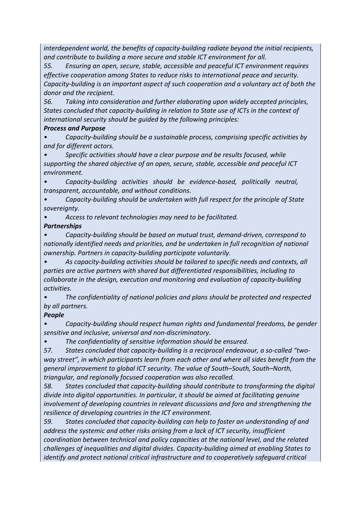*interdependent world, the benefits of capacity-building radiate beyond the initial recipients, and contribute to building a more secure and stable ICT environment for all.*

*55. Ensuring an open, secure, stable, accessible and peaceful ICT environment requires effective cooperation among States to reduce risks to international peace and security. Capacity-building is an important aspect of such cooperation and a voluntary act of both the donor and the recipient.*

*56. Taking into consideration and further elaborating upon widely accepted principles, States concluded that capacity-building in relation to State use of ICTs in the context of international security should be guided by the following principles:*

# *Process and Purpose*

*• Capacity-building should be a sustainable process, comprising specific activities by and for different actors.*

*• Specific activities should have a clear purpose and be results focused, while supporting the shared objective of an open, secure, stable, accessible and peaceful ICT environment.*

*• Capacity-building activities should be evidence-based, politically neutral, transparent, accountable, and without conditions.*

*• Capacity-building should be undertaken with full respect for the principle of State sovereignty.*

*• Access to relevant technologies may need to be facilitated.*

# *Partnerships*

*• Capacity-building should be based on mutual trust, demand-driven, correspond to nationally identified needs and priorities, and be undertaken in full recognition of national ownership. Partners in capacity-building participate voluntarily.*

*• As capacity-building activities should be tailored to specific needs and contexts, all parties are active partners with shared but differentiated responsibilities, including to collaborate in the design, execution and monitoring and evaluation of capacity-building activities.*

*• The confidentiality of national policies and plans should be protected and respected by all partners.*

# *People*

*• Capacity-building should respect human rights and fundamental freedoms, be gender sensitive and inclusive, universal and non-discriminatory.*

*• The confidentiality of sensitive information should be ensured.*

*57. States concluded that capacity-building is a reciprocal endeavour, a so-called "twoway street", in which participants learn from each other and where all sides benefit from the general improvement to global ICT security. The value of South–South, South–North, triangular, and regionally focused cooperation was also recalled.*

*58. States concluded that capacity-building should contribute to transforming the digital divide into digital opportunities. In particular, it should be aimed at facilitating genuine involvement of developing countries in relevant discussions and fora and strengthening the resilience of developing countries in the ICT environment.*

*59. States concluded that capacity-building can help to foster an understanding of and address the systemic and other risks arising from a lack of ICT security, insufficient coordination between technical and policy capacities at the national level, and the related challenges of inequalities and digital divides. Capacity-building aimed at enabling States to identify and protect national critical infrastructure and to cooperatively safeguard critical*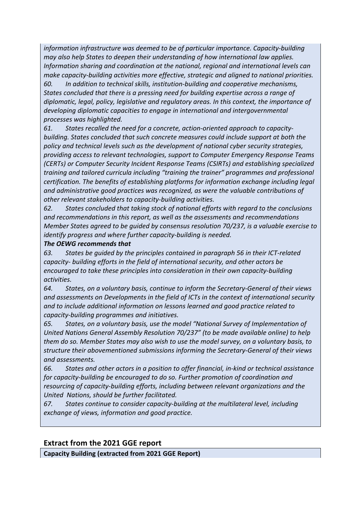*information infrastructure was deemed to be of particular importance. Capacity-building may also help States to deepen their understanding of how international law applies. Information sharing and coordination at the national, regional and international levels can make capacity-building activities more effective, strategic and aligned to national priorities.*

*60. In addition to technical skills, institution-building and cooperative mechanisms, States concluded that there is a pressing need for building expertise across a range of diplomatic, legal, policy, legislative and regulatory areas. In this context, the importance of developing diplomatic capacities to engage in international and intergovernmental processes was highlighted.*

*61. States recalled the need for a concrete, action-oriented approach to capacitybuilding. States concluded that such concrete measures could include support at both the policy and technical levels such as the development of national cyber security strategies, providing access to relevant technologies, support to Computer Emergency Response Teams (CERTs) or Computer Security Incident Response Teams (CSIRTs) and establishing specialized training and tailored curricula including "training the trainer" programmes and professional certification. The benefits of establishing platforms for information exchange including legal and administrative good practices was recognized, as were the valuable contributions of other relevant stakeholders to capacity-building activities.*

*62. States concluded that taking stock of national efforts with regard to the conclusions and recommendations in this report, as well as the assessments and recommendations Member States agreed to be guided by consensus resolution 70/237, is a valuable exercise to identify progress and where further capacity-building is needed.*

### *The OEWG recommends that*

*63. States be guided by the principles contained in paragraph 56 in their ICT-related capacity- building efforts in the field of international security, and other actors be encouraged to take these principles into consideration in their own capacity-building activities.*

*64. States, on a voluntary basis, continue to inform the Secretary-General of their views and assessments on Developments in the field of ICTs in the context of international security and to include additional information on lessons learned and good practice related to capacity-building programmes and initiatives.*

*65. States, on a voluntary basis, use the model "National Survey of Implementation of United Nations General Assembly Resolution 70/237" (to be made available online) to help them do so. Member States may also wish to use the model survey, on a voluntary basis, to structure their abovementioned submissions informing the Secretary-General of their views and assessments.*

*66. States and other actors in a position to offer financial, in-kind or technical assistance for capacity-building be encouraged to do so. Further promotion of coordination and resourcing of capacity-building efforts, including between relevant organizations and the United Nations, should be further facilitated.*

*67. States continue to consider capacity-building at the multilateral level, including exchange of views, information and good practice.*

# **Extract from the 2021 GGE report**

**Capacity Building (extracted from 2021 GGE Report)**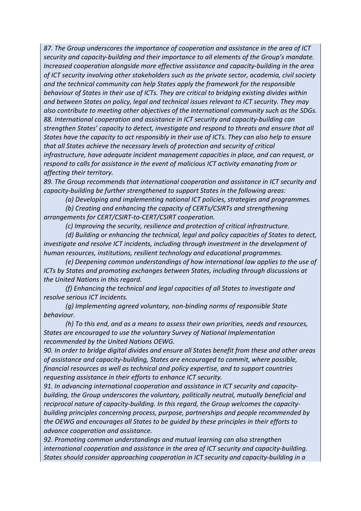*87. The Group underscores the importance of cooperation and assistance in the area of ICT security and capacity-building and their importance to all elements of the Group's mandate. Increased cooperation alongside more effective assistance and capacity-building in the area of ICT security involving other stakeholders such as the private sector, academia, civil society and the technical community can help States apply the framework for the responsible behaviour of States in their use of ICTs. They are critical to bridging existing divides within and between States on policy, legal and technical issues relevant to ICT security. They may also contribute to meeting other objectives of the international community such as the SDGs. 88. International cooperation and assistance in ICT security and capacity-building can strengthen States' capacity to detect, investigate and respond to threats and ensure that all States have the capacity to act responsibly in their use of ICTs. They can also help to ensure that all States achieve the necessary levels of protection and security of critical infrastructure, have adequate incident management capacities in place, and can request, or respond to calls for assistance in the event of malicious ICT activity emanating from or affecting their territory.* 

*89. The Group recommends that international cooperation and assistance in ICT security and capacity-building be further strengthened to support States in the following areas:* 

*(a) Developing and implementing national ICT policies, strategies and programmes.* 

*(b) Creating and enhancing the capacity of CERTs/CSIRTs and strengthening arrangements for CERT/CSIRT-to-CERT/CSIRT cooperation.* 

*(c) Improving the security, resilience and protection of critical infrastructure.* 

*(d) Building or enhancing the technical, legal and policy capacities of States to detect, investigate and resolve ICT incidents, including through investment in the development of human resources, institutions, resilient technology and educational programmes.* 

*(e) Deepening common understandings of how international law applies to the use of ICTs by States and promoting exchanges between States, including through discussions at the United Nations in this regard.* 

*(f) Enhancing the technical and legal capacities of all States to investigate and resolve serious ICT incidents.* 

*(g) Implementing agreed voluntary, non-binding norms of responsible State behaviour.* 

*(h) To this end, and as a means to assess their own priorities, needs and resources, States are encouraged to use the voluntary Survey of National Implementation recommended by the United Nations OEWG.* 

*90. In order to bridge digital divides and ensure all States benefit from these and other areas of assistance and capacity-building, States are encouraged to commit, where possible, financial resources as well as technical and policy expertise, and to support countries requesting assistance in their efforts to enhance ICT security.* 

*91. In advancing international cooperation and assistance in ICT security and capacitybuilding, the Group underscores the voluntary, politically neutral, mutually beneficial and reciprocal nature of capacity-building. In this regard, the Group welcomes the capacitybuilding principles concerning process, purpose, partnerships and people recommended by the OEWG and encourages all States to be guided by these principles in their efforts to advance cooperation and assistance.*

*92. Promoting common understandings and mutual learning can also strengthen international cooperation and assistance in the area of ICT security and capacity-building. States should consider approaching cooperation in ICT security and capacity-building in a*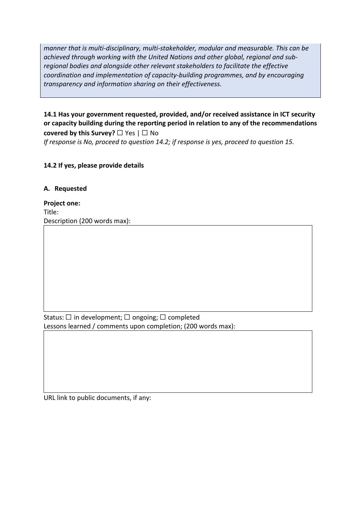*manner that is multi-disciplinary, multi-stakeholder, modular and measurable. This can be achieved through working with the United Nations and other global, regional and subregional bodies and alongside other relevant stakeholders to facilitate the effective coordination and implementation of capacity-building programmes, and by encouraging transparency and information sharing on their effectiveness.*

**14.1 Has your government requested, provided, and/or received assistance in ICT security or capacity building during the reporting period in relation to any of the recommendations covered by this Survey?** ☐ Yes | ☐ No *If response is No, proceed to question 14.2; if response is yes, proceed to question 15.*

### **14.2 If yes, please provide details**

### **A. Requested**

### **Project one:**

Title:

Description (200 words max):

Status:  $\Box$  in development;  $\Box$  ongoing;  $\Box$  completed Lessons learned / comments upon completion; (200 words max):

URL link to public documents, if any: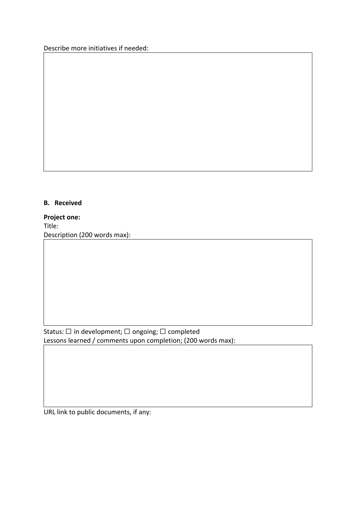Describe more initiatives if needed:

### **B. Received**

**Project one:** Title: Description (200 words max):

Status:  $\square$  in development;  $\square$  ongoing;  $\square$  completed Lessons learned / comments upon completion; (200 words max):

URL link to public documents, if any: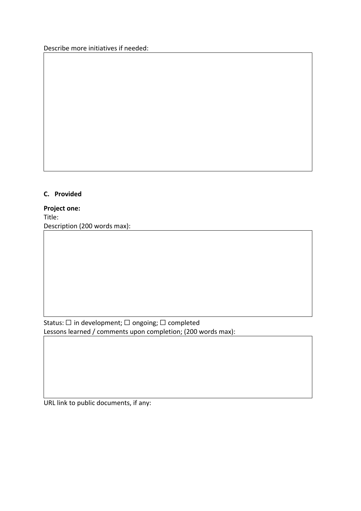# Describe more initiatives if needed:

### **C. Provided**

### **Project one:**

Title: Description (200 words max):

Status: ☐ in development; ☐ ongoing; ☐ completed Lessons learned / comments upon completion; (200 words max):

URL link to public documents, if any: